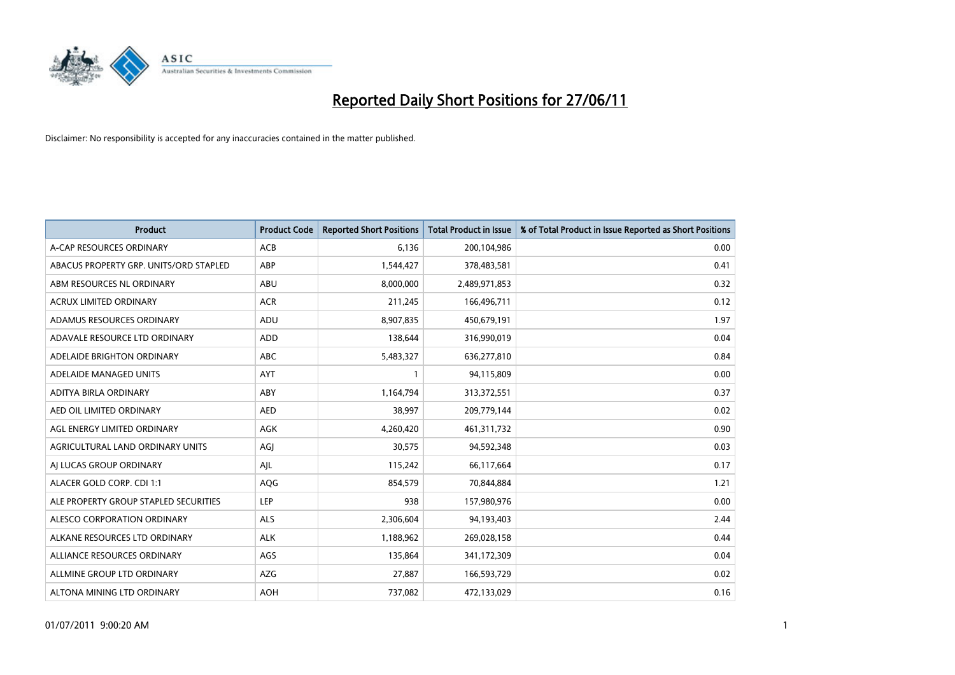

| <b>Product</b>                         | <b>Product Code</b> | <b>Reported Short Positions</b> | <b>Total Product in Issue</b> | % of Total Product in Issue Reported as Short Positions |
|----------------------------------------|---------------------|---------------------------------|-------------------------------|---------------------------------------------------------|
| A-CAP RESOURCES ORDINARY               | ACB                 | 6,136                           | 200,104,986                   | 0.00                                                    |
| ABACUS PROPERTY GRP. UNITS/ORD STAPLED | <b>ABP</b>          | 1,544,427                       | 378,483,581                   | 0.41                                                    |
| ABM RESOURCES NL ORDINARY              | ABU                 | 8,000,000                       | 2,489,971,853                 | 0.32                                                    |
| <b>ACRUX LIMITED ORDINARY</b>          | <b>ACR</b>          | 211,245                         | 166,496,711                   | 0.12                                                    |
| ADAMUS RESOURCES ORDINARY              | ADU                 | 8,907,835                       | 450,679,191                   | 1.97                                                    |
| ADAVALE RESOURCE LTD ORDINARY          | ADD                 | 138,644                         | 316,990,019                   | 0.04                                                    |
| ADELAIDE BRIGHTON ORDINARY             | ABC                 | 5,483,327                       | 636,277,810                   | 0.84                                                    |
| ADELAIDE MANAGED UNITS                 | <b>AYT</b>          | $\mathbf{1}$                    | 94,115,809                    | 0.00                                                    |
| ADITYA BIRLA ORDINARY                  | ABY                 | 1,164,794                       | 313,372,551                   | 0.37                                                    |
| AED OIL LIMITED ORDINARY               | <b>AED</b>          | 38,997                          | 209,779,144                   | 0.02                                                    |
| AGL ENERGY LIMITED ORDINARY            | AGK                 | 4,260,420                       | 461,311,732                   | 0.90                                                    |
| AGRICULTURAL LAND ORDINARY UNITS       | AGJ                 | 30,575                          | 94,592,348                    | 0.03                                                    |
| AI LUCAS GROUP ORDINARY                | AJL                 | 115,242                         | 66,117,664                    | 0.17                                                    |
| ALACER GOLD CORP. CDI 1:1              | AQG                 | 854,579                         | 70,844,884                    | 1.21                                                    |
| ALE PROPERTY GROUP STAPLED SECURITIES  | <b>LEP</b>          | 938                             | 157,980,976                   | 0.00                                                    |
| ALESCO CORPORATION ORDINARY            | ALS                 | 2,306,604                       | 94,193,403                    | 2.44                                                    |
| ALKANE RESOURCES LTD ORDINARY          | <b>ALK</b>          | 1,188,962                       | 269,028,158                   | 0.44                                                    |
| ALLIANCE RESOURCES ORDINARY            | AGS                 | 135,864                         | 341,172,309                   | 0.04                                                    |
| ALLMINE GROUP LTD ORDINARY             | <b>AZG</b>          | 27,887                          | 166,593,729                   | 0.02                                                    |
| ALTONA MINING LTD ORDINARY             | <b>AOH</b>          | 737,082                         | 472,133,029                   | 0.16                                                    |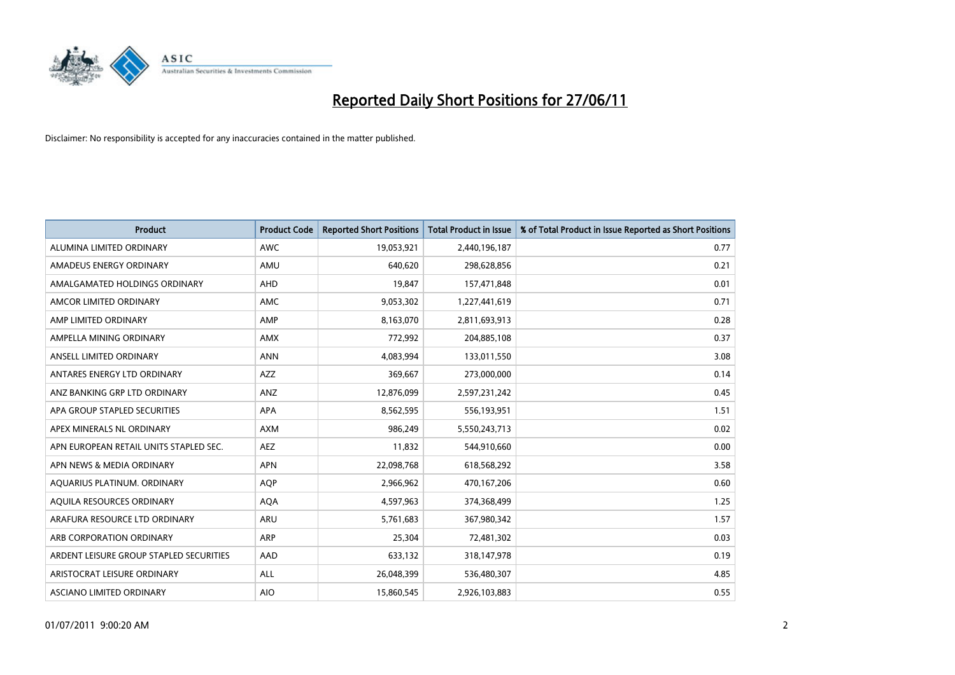

| <b>Product</b>                          | <b>Product Code</b> | <b>Reported Short Positions</b> | <b>Total Product in Issue</b> | % of Total Product in Issue Reported as Short Positions |
|-----------------------------------------|---------------------|---------------------------------|-------------------------------|---------------------------------------------------------|
| ALUMINA LIMITED ORDINARY                | <b>AWC</b>          | 19,053,921                      | 2,440,196,187                 | 0.77                                                    |
| AMADEUS ENERGY ORDINARY                 | AMU                 | 640.620                         | 298,628,856                   | 0.21                                                    |
| AMALGAMATED HOLDINGS ORDINARY           | <b>AHD</b>          | 19,847                          | 157,471,848                   | 0.01                                                    |
| AMCOR LIMITED ORDINARY                  | AMC                 | 9,053,302                       | 1,227,441,619                 | 0.71                                                    |
| AMP LIMITED ORDINARY                    | AMP                 | 8,163,070                       | 2,811,693,913                 | 0.28                                                    |
| AMPELLA MINING ORDINARY                 | AMX                 | 772,992                         | 204,885,108                   | 0.37                                                    |
| ANSELL LIMITED ORDINARY                 | <b>ANN</b>          | 4.083.994                       | 133,011,550                   | 3.08                                                    |
| ANTARES ENERGY LTD ORDINARY             | AZZ                 | 369,667                         | 273,000,000                   | 0.14                                                    |
| ANZ BANKING GRP LTD ORDINARY            | ANZ                 | 12,876,099                      | 2,597,231,242                 | 0.45                                                    |
| APA GROUP STAPLED SECURITIES            | <b>APA</b>          | 8,562,595                       | 556,193,951                   | 1.51                                                    |
| APEX MINERALS NL ORDINARY               | <b>AXM</b>          | 986,249                         | 5,550,243,713                 | 0.02                                                    |
| APN EUROPEAN RETAIL UNITS STAPLED SEC.  | AEZ                 | 11,832                          | 544,910,660                   | 0.00                                                    |
| APN NEWS & MEDIA ORDINARY               | <b>APN</b>          | 22,098,768                      | 618,568,292                   | 3.58                                                    |
| AQUARIUS PLATINUM. ORDINARY             | <b>AOP</b>          | 2,966,962                       | 470,167,206                   | 0.60                                                    |
| AQUILA RESOURCES ORDINARY               | <b>AQA</b>          | 4,597,963                       | 374,368,499                   | 1.25                                                    |
| ARAFURA RESOURCE LTD ORDINARY           | <b>ARU</b>          | 5,761,683                       | 367,980,342                   | 1.57                                                    |
| ARB CORPORATION ORDINARY                | <b>ARP</b>          | 25,304                          | 72,481,302                    | 0.03                                                    |
| ARDENT LEISURE GROUP STAPLED SECURITIES | AAD                 | 633,132                         | 318,147,978                   | 0.19                                                    |
| ARISTOCRAT LEISURE ORDINARY             | ALL                 | 26,048,399                      | 536,480,307                   | 4.85                                                    |
| ASCIANO LIMITED ORDINARY                | <b>AIO</b>          | 15,860,545                      | 2,926,103,883                 | 0.55                                                    |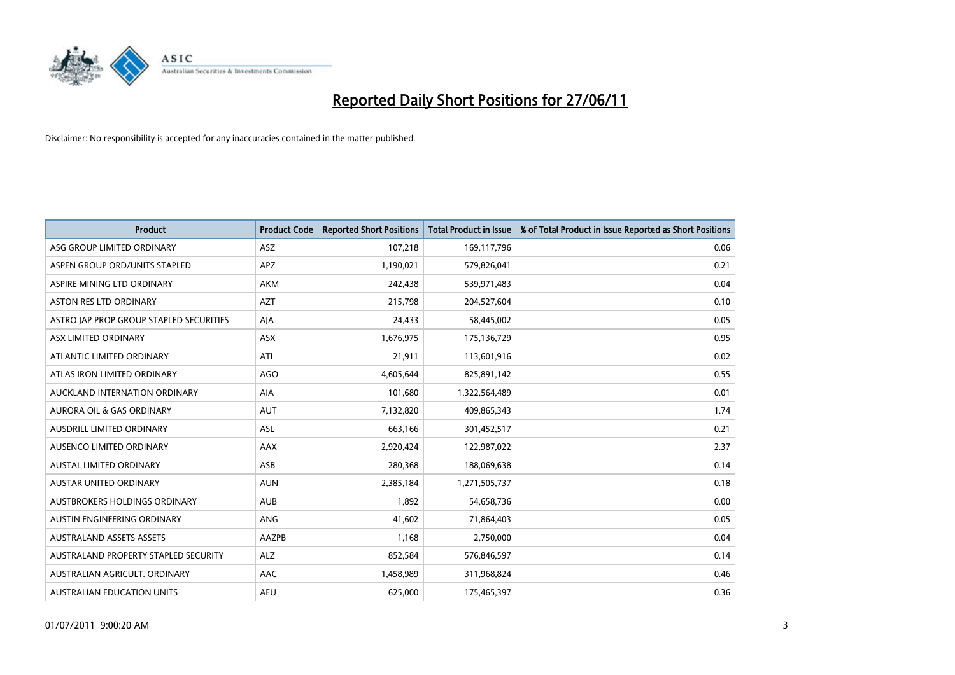

| <b>Product</b>                          | <b>Product Code</b> | <b>Reported Short Positions</b> | <b>Total Product in Issue</b> | % of Total Product in Issue Reported as Short Positions |
|-----------------------------------------|---------------------|---------------------------------|-------------------------------|---------------------------------------------------------|
| ASG GROUP LIMITED ORDINARY              | ASZ                 | 107,218                         | 169,117,796                   | 0.06                                                    |
| ASPEN GROUP ORD/UNITS STAPLED           | <b>APZ</b>          | 1,190,021                       | 579,826,041                   | 0.21                                                    |
| ASPIRE MINING LTD ORDINARY              | <b>AKM</b>          | 242,438                         | 539,971,483                   | 0.04                                                    |
| ASTON RES LTD ORDINARY                  | <b>AZT</b>          | 215,798                         | 204,527,604                   | 0.10                                                    |
| ASTRO JAP PROP GROUP STAPLED SECURITIES | AJA                 | 24,433                          | 58,445,002                    | 0.05                                                    |
| ASX LIMITED ORDINARY                    | ASX                 | 1,676,975                       | 175,136,729                   | 0.95                                                    |
| ATLANTIC LIMITED ORDINARY               | ATI                 | 21,911                          | 113,601,916                   | 0.02                                                    |
| ATLAS IRON LIMITED ORDINARY             | <b>AGO</b>          | 4,605,644                       | 825,891,142                   | 0.55                                                    |
| AUCKLAND INTERNATION ORDINARY           | <b>AIA</b>          | 101,680                         | 1,322,564,489                 | 0.01                                                    |
| <b>AURORA OIL &amp; GAS ORDINARY</b>    | <b>AUT</b>          | 7,132,820                       | 409,865,343                   | 1.74                                                    |
| AUSDRILL LIMITED ORDINARY               | ASL                 | 663,166                         | 301,452,517                   | 0.21                                                    |
| AUSENCO LIMITED ORDINARY                | AAX                 | 2,920,424                       | 122,987,022                   | 2.37                                                    |
| AUSTAL LIMITED ORDINARY                 | ASB                 | 280,368                         | 188,069,638                   | 0.14                                                    |
| <b>AUSTAR UNITED ORDINARY</b>           | <b>AUN</b>          | 2,385,184                       | 1,271,505,737                 | 0.18                                                    |
| AUSTBROKERS HOLDINGS ORDINARY           | <b>AUB</b>          | 1,892                           | 54,658,736                    | 0.00                                                    |
| AUSTIN ENGINEERING ORDINARY             | ANG                 | 41,602                          | 71,864,403                    | 0.05                                                    |
| <b>AUSTRALAND ASSETS ASSETS</b>         | AAZPB               | 1,168                           | 2,750,000                     | 0.04                                                    |
| AUSTRALAND PROPERTY STAPLED SECURITY    | <b>ALZ</b>          | 852,584                         | 576,846,597                   | 0.14                                                    |
| AUSTRALIAN AGRICULT, ORDINARY           | AAC                 | 1,458,989                       | 311,968,824                   | 0.46                                                    |
| AUSTRALIAN EDUCATION UNITS              | <b>AEU</b>          | 625,000                         | 175,465,397                   | 0.36                                                    |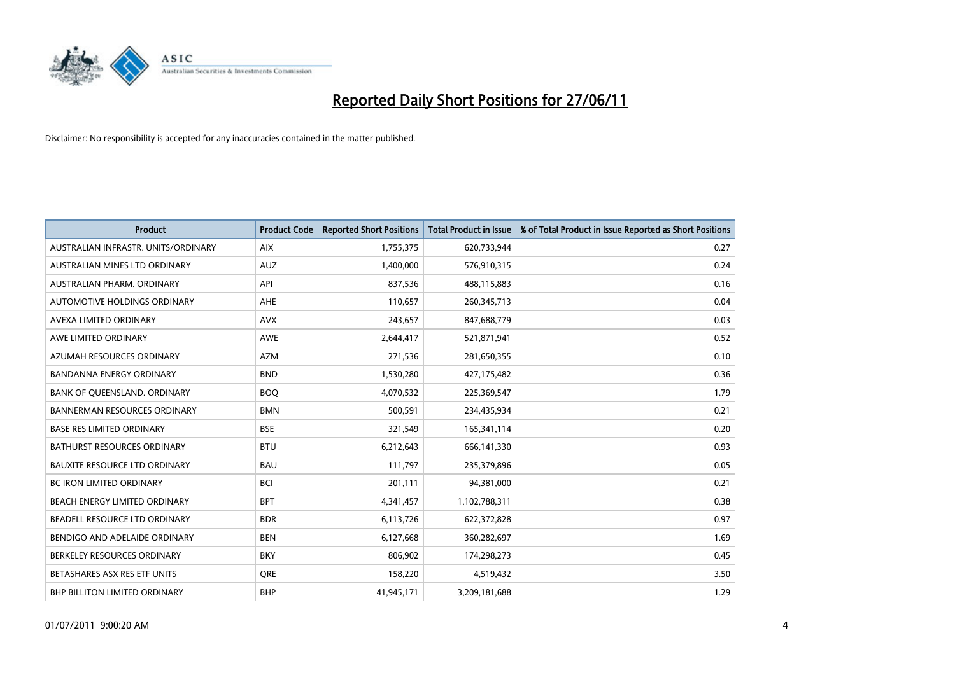

| <b>Product</b>                       | <b>Product Code</b> | <b>Reported Short Positions</b> | <b>Total Product in Issue</b> | % of Total Product in Issue Reported as Short Positions |
|--------------------------------------|---------------------|---------------------------------|-------------------------------|---------------------------------------------------------|
| AUSTRALIAN INFRASTR, UNITS/ORDINARY  | <b>AIX</b>          | 1,755,375                       | 620,733,944                   | 0.27                                                    |
| AUSTRALIAN MINES LTD ORDINARY        | <b>AUZ</b>          | 1,400,000                       | 576,910,315                   | 0.24                                                    |
| AUSTRALIAN PHARM. ORDINARY           | API                 | 837,536                         | 488,115,883                   | 0.16                                                    |
| AUTOMOTIVE HOLDINGS ORDINARY         | AHE                 | 110,657                         | 260,345,713                   | 0.04                                                    |
| AVEXA LIMITED ORDINARY               | <b>AVX</b>          | 243,657                         | 847,688,779                   | 0.03                                                    |
| AWE LIMITED ORDINARY                 | AWE                 | 2,644,417                       | 521,871,941                   | 0.52                                                    |
| AZUMAH RESOURCES ORDINARY            | <b>AZM</b>          | 271,536                         | 281,650,355                   | 0.10                                                    |
| BANDANNA ENERGY ORDINARY             | <b>BND</b>          | 1,530,280                       | 427,175,482                   | 0.36                                                    |
| BANK OF QUEENSLAND. ORDINARY         | <b>BOQ</b>          | 4,070,532                       | 225,369,547                   | 1.79                                                    |
| <b>BANNERMAN RESOURCES ORDINARY</b>  | <b>BMN</b>          | 500,591                         | 234,435,934                   | 0.21                                                    |
| <b>BASE RES LIMITED ORDINARY</b>     | <b>BSE</b>          | 321,549                         | 165,341,114                   | 0.20                                                    |
| BATHURST RESOURCES ORDINARY          | <b>BTU</b>          | 6,212,643                       | 666,141,330                   | 0.93                                                    |
| <b>BAUXITE RESOURCE LTD ORDINARY</b> | <b>BAU</b>          | 111,797                         | 235,379,896                   | 0.05                                                    |
| <b>BC IRON LIMITED ORDINARY</b>      | <b>BCI</b>          | 201,111                         | 94,381,000                    | 0.21                                                    |
| BEACH ENERGY LIMITED ORDINARY        | <b>BPT</b>          | 4,341,457                       | 1,102,788,311                 | 0.38                                                    |
| BEADELL RESOURCE LTD ORDINARY        | <b>BDR</b>          | 6,113,726                       | 622,372,828                   | 0.97                                                    |
| BENDIGO AND ADELAIDE ORDINARY        | <b>BEN</b>          | 6,127,668                       | 360,282,697                   | 1.69                                                    |
| BERKELEY RESOURCES ORDINARY          | <b>BKY</b>          | 806,902                         | 174,298,273                   | 0.45                                                    |
| BETASHARES ASX RES ETF UNITS         | <b>ORE</b>          | 158,220                         | 4,519,432                     | 3.50                                                    |
| <b>BHP BILLITON LIMITED ORDINARY</b> | <b>BHP</b>          | 41,945,171                      | 3,209,181,688                 | 1.29                                                    |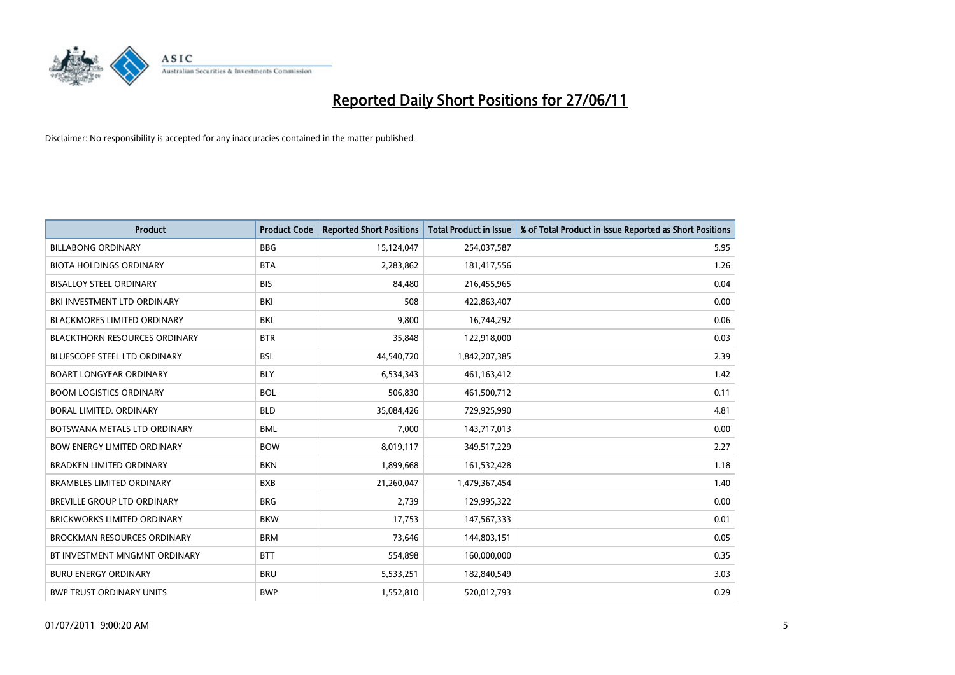

| <b>Product</b>                       | <b>Product Code</b> | <b>Reported Short Positions</b> | <b>Total Product in Issue</b> | % of Total Product in Issue Reported as Short Positions |
|--------------------------------------|---------------------|---------------------------------|-------------------------------|---------------------------------------------------------|
| <b>BILLABONG ORDINARY</b>            | <b>BBG</b>          | 15,124,047                      | 254,037,587                   | 5.95                                                    |
| <b>BIOTA HOLDINGS ORDINARY</b>       | <b>BTA</b>          | 2,283,862                       | 181,417,556                   | 1.26                                                    |
| <b>BISALLOY STEEL ORDINARY</b>       | <b>BIS</b>          | 84,480                          | 216,455,965                   | 0.04                                                    |
| BKI INVESTMENT LTD ORDINARY          | BKI                 | 508                             | 422,863,407                   | 0.00                                                    |
| <b>BLACKMORES LIMITED ORDINARY</b>   | <b>BKL</b>          | 9,800                           | 16,744,292                    | 0.06                                                    |
| <b>BLACKTHORN RESOURCES ORDINARY</b> | <b>BTR</b>          | 35,848                          | 122,918,000                   | 0.03                                                    |
| BLUESCOPE STEEL LTD ORDINARY         | <b>BSL</b>          | 44,540,720                      | 1,842,207,385                 | 2.39                                                    |
| <b>BOART LONGYEAR ORDINARY</b>       | <b>BLY</b>          | 6,534,343                       | 461,163,412                   | 1.42                                                    |
| <b>BOOM LOGISTICS ORDINARY</b>       | <b>BOL</b>          | 506,830                         | 461,500,712                   | 0.11                                                    |
| <b>BORAL LIMITED, ORDINARY</b>       | <b>BLD</b>          | 35,084,426                      | 729,925,990                   | 4.81                                                    |
| BOTSWANA METALS LTD ORDINARY         | <b>BML</b>          | 7,000                           | 143,717,013                   | 0.00                                                    |
| <b>BOW ENERGY LIMITED ORDINARY</b>   | <b>BOW</b>          | 8,019,117                       | 349,517,229                   | 2.27                                                    |
| <b>BRADKEN LIMITED ORDINARY</b>      | <b>BKN</b>          | 1,899,668                       | 161,532,428                   | 1.18                                                    |
| <b>BRAMBLES LIMITED ORDINARY</b>     | <b>BXB</b>          | 21,260,047                      | 1,479,367,454                 | 1.40                                                    |
| <b>BREVILLE GROUP LTD ORDINARY</b>   | <b>BRG</b>          | 2,739                           | 129,995,322                   | 0.00                                                    |
| BRICKWORKS LIMITED ORDINARY          | <b>BKW</b>          | 17,753                          | 147,567,333                   | 0.01                                                    |
| <b>BROCKMAN RESOURCES ORDINARY</b>   | <b>BRM</b>          | 73,646                          | 144,803,151                   | 0.05                                                    |
| BT INVESTMENT MNGMNT ORDINARY        | <b>BTT</b>          | 554,898                         | 160,000,000                   | 0.35                                                    |
| <b>BURU ENERGY ORDINARY</b>          | <b>BRU</b>          | 5,533,251                       | 182,840,549                   | 3.03                                                    |
| <b>BWP TRUST ORDINARY UNITS</b>      | <b>BWP</b>          | 1,552,810                       | 520,012,793                   | 0.29                                                    |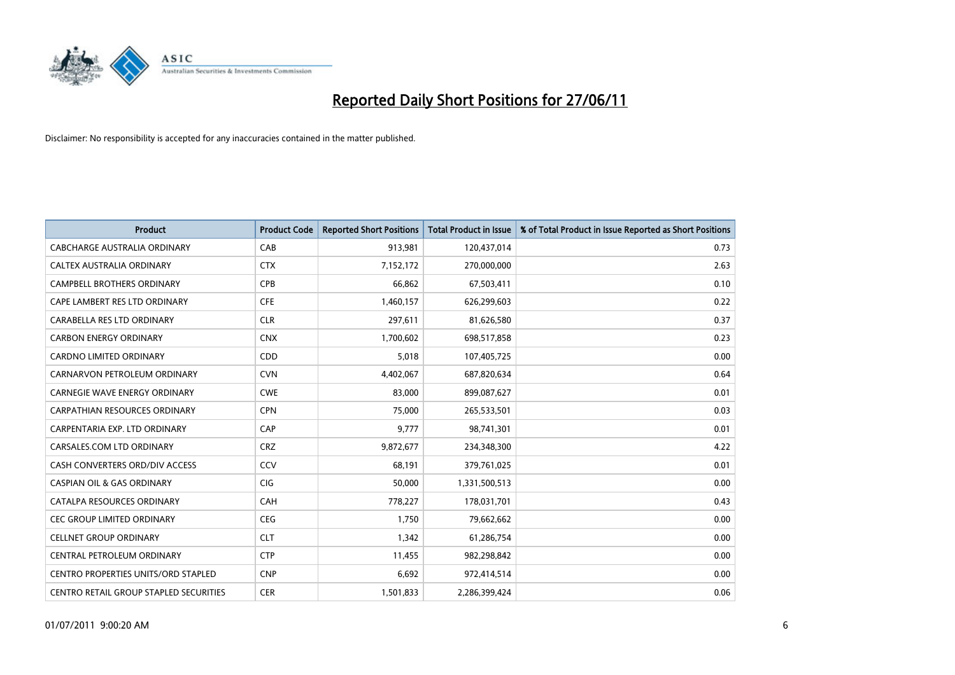

| <b>Product</b>                             | <b>Product Code</b> | <b>Reported Short Positions</b> | <b>Total Product in Issue</b> | % of Total Product in Issue Reported as Short Positions |
|--------------------------------------------|---------------------|---------------------------------|-------------------------------|---------------------------------------------------------|
| CABCHARGE AUSTRALIA ORDINARY               | CAB                 | 913,981                         | 120,437,014                   | 0.73                                                    |
| CALTEX AUSTRALIA ORDINARY                  | <b>CTX</b>          | 7,152,172                       | 270,000,000                   | 2.63                                                    |
| <b>CAMPBELL BROTHERS ORDINARY</b>          | <b>CPB</b>          | 66,862                          | 67,503,411                    | 0.10                                                    |
| CAPE LAMBERT RES LTD ORDINARY              | <b>CFE</b>          | 1,460,157                       | 626,299,603                   | 0.22                                                    |
| CARABELLA RES LTD ORDINARY                 | <b>CLR</b>          | 297,611                         | 81,626,580                    | 0.37                                                    |
| <b>CARBON ENERGY ORDINARY</b>              | <b>CNX</b>          | 1,700,602                       | 698,517,858                   | 0.23                                                    |
| <b>CARDNO LIMITED ORDINARY</b>             | CDD                 | 5,018                           | 107,405,725                   | 0.00                                                    |
| CARNARVON PETROLEUM ORDINARY               | <b>CVN</b>          | 4,402,067                       | 687,820,634                   | 0.64                                                    |
| CARNEGIE WAVE ENERGY ORDINARY              | <b>CWE</b>          | 83,000                          | 899,087,627                   | 0.01                                                    |
| <b>CARPATHIAN RESOURCES ORDINARY</b>       | <b>CPN</b>          | 75,000                          | 265,533,501                   | 0.03                                                    |
| CARPENTARIA EXP. LTD ORDINARY              | CAP                 | 9,777                           | 98,741,301                    | 0.01                                                    |
| CARSALES.COM LTD ORDINARY                  | <b>CRZ</b>          | 9,872,677                       | 234,348,300                   | 4.22                                                    |
| CASH CONVERTERS ORD/DIV ACCESS             | CCV                 | 68,191                          | 379,761,025                   | 0.01                                                    |
| <b>CASPIAN OIL &amp; GAS ORDINARY</b>      | <b>CIG</b>          | 50,000                          | 1,331,500,513                 | 0.00                                                    |
| CATALPA RESOURCES ORDINARY                 | CAH                 | 778,227                         | 178,031,701                   | 0.43                                                    |
| CEC GROUP LIMITED ORDINARY                 | <b>CEG</b>          | 1,750                           | 79,662,662                    | 0.00                                                    |
| <b>CELLNET GROUP ORDINARY</b>              | <b>CLT</b>          | 1,342                           | 61,286,754                    | 0.00                                                    |
| CENTRAL PETROLEUM ORDINARY                 | <b>CTP</b>          | 11,455                          | 982,298,842                   | 0.00                                                    |
| <b>CENTRO PROPERTIES UNITS/ORD STAPLED</b> | <b>CNP</b>          | 6,692                           | 972,414,514                   | 0.00                                                    |
| CENTRO RETAIL GROUP STAPLED SECURITIES     | <b>CER</b>          | 1,501,833                       | 2,286,399,424                 | 0.06                                                    |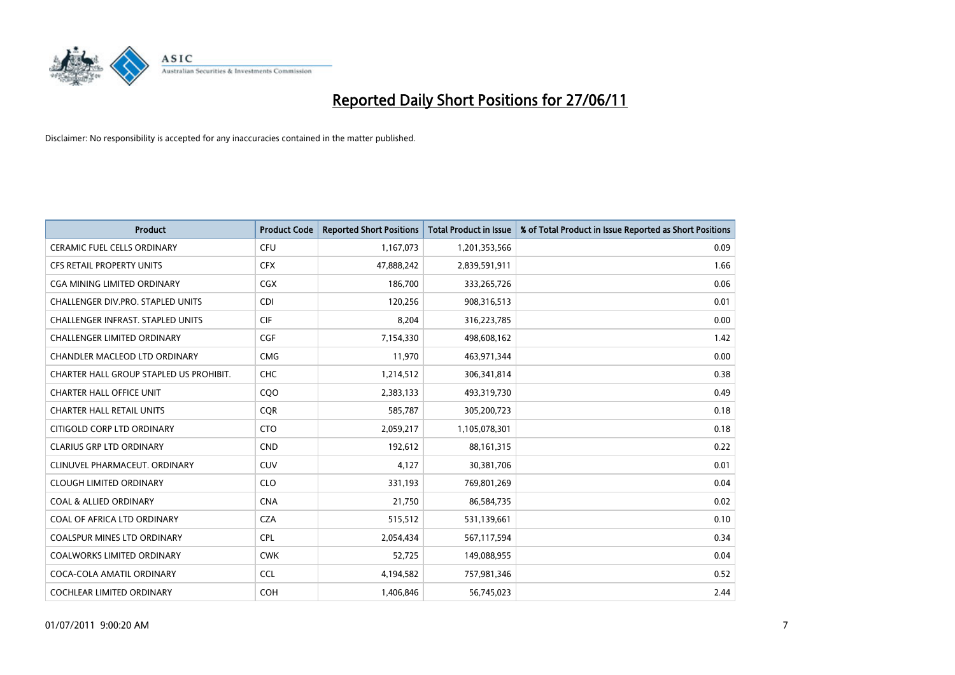

| <b>Product</b>                           | <b>Product Code</b> | <b>Reported Short Positions</b> | <b>Total Product in Issue</b> | % of Total Product in Issue Reported as Short Positions |
|------------------------------------------|---------------------|---------------------------------|-------------------------------|---------------------------------------------------------|
| <b>CERAMIC FUEL CELLS ORDINARY</b>       | <b>CFU</b>          | 1,167,073                       | 1,201,353,566                 | 0.09                                                    |
| CFS RETAIL PROPERTY UNITS                | <b>CFX</b>          | 47,888,242                      | 2,839,591,911                 | 1.66                                                    |
| CGA MINING LIMITED ORDINARY              | CGX                 | 186,700                         | 333,265,726                   | 0.06                                                    |
| CHALLENGER DIV.PRO. STAPLED UNITS        | <b>CDI</b>          | 120,256                         | 908,316,513                   | 0.01                                                    |
| <b>CHALLENGER INFRAST, STAPLED UNITS</b> | <b>CIF</b>          | 8,204                           | 316,223,785                   | 0.00                                                    |
| <b>CHALLENGER LIMITED ORDINARY</b>       | <b>CGF</b>          | 7,154,330                       | 498,608,162                   | 1.42                                                    |
| CHANDLER MACLEOD LTD ORDINARY            | <b>CMG</b>          | 11,970                          | 463,971,344                   | 0.00                                                    |
| CHARTER HALL GROUP STAPLED US PROHIBIT.  | <b>CHC</b>          | 1,214,512                       | 306,341,814                   | 0.38                                                    |
| <b>CHARTER HALL OFFICE UNIT</b>          | CQ <sub>O</sub>     | 2,383,133                       | 493,319,730                   | 0.49                                                    |
| <b>CHARTER HALL RETAIL UNITS</b>         | <b>CQR</b>          | 585,787                         | 305,200,723                   | 0.18                                                    |
| CITIGOLD CORP LTD ORDINARY               | <b>CTO</b>          | 2,059,217                       | 1,105,078,301                 | 0.18                                                    |
| <b>CLARIUS GRP LTD ORDINARY</b>          | <b>CND</b>          | 192,612                         | 88,161,315                    | 0.22                                                    |
| CLINUVEL PHARMACEUT, ORDINARY            | <b>CUV</b>          | 4,127                           | 30,381,706                    | 0.01                                                    |
| <b>CLOUGH LIMITED ORDINARY</b>           | <b>CLO</b>          | 331,193                         | 769,801,269                   | 0.04                                                    |
| <b>COAL &amp; ALLIED ORDINARY</b>        | <b>CNA</b>          | 21,750                          | 86,584,735                    | 0.02                                                    |
| COAL OF AFRICA LTD ORDINARY              | <b>CZA</b>          | 515,512                         | 531,139,661                   | 0.10                                                    |
| COALSPUR MINES LTD ORDINARY              | <b>CPL</b>          | 2,054,434                       | 567,117,594                   | 0.34                                                    |
| <b>COALWORKS LIMITED ORDINARY</b>        | <b>CWK</b>          | 52,725                          | 149,088,955                   | 0.04                                                    |
| COCA-COLA AMATIL ORDINARY                | <b>CCL</b>          | 4,194,582                       | 757,981,346                   | 0.52                                                    |
| <b>COCHLEAR LIMITED ORDINARY</b>         | <b>COH</b>          | 1,406,846                       | 56,745,023                    | 2.44                                                    |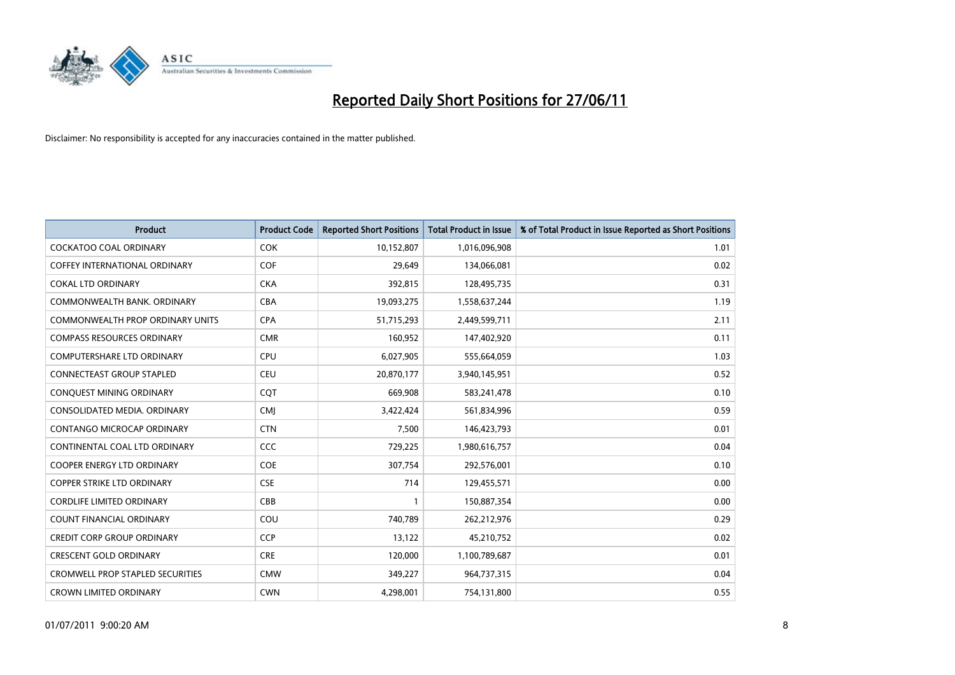

| Product                                 | <b>Product Code</b> | <b>Reported Short Positions</b> | <b>Total Product in Issue</b> | % of Total Product in Issue Reported as Short Positions |
|-----------------------------------------|---------------------|---------------------------------|-------------------------------|---------------------------------------------------------|
| <b>COCKATOO COAL ORDINARY</b>           | <b>COK</b>          | 10,152,807                      | 1,016,096,908                 | 1.01                                                    |
| COFFEY INTERNATIONAL ORDINARY           | <b>COF</b>          | 29,649                          | 134,066,081                   | 0.02                                                    |
| <b>COKAL LTD ORDINARY</b>               | <b>CKA</b>          | 392,815                         | 128,495,735                   | 0.31                                                    |
| COMMONWEALTH BANK, ORDINARY             | <b>CBA</b>          | 19,093,275                      | 1,558,637,244                 | 1.19                                                    |
| COMMONWEALTH PROP ORDINARY UNITS        | <b>CPA</b>          | 51,715,293                      | 2,449,599,711                 | 2.11                                                    |
| <b>COMPASS RESOURCES ORDINARY</b>       | <b>CMR</b>          | 160,952                         | 147,402,920                   | 0.11                                                    |
| <b>COMPUTERSHARE LTD ORDINARY</b>       | <b>CPU</b>          | 6,027,905                       | 555,664,059                   | 1.03                                                    |
| <b>CONNECTEAST GROUP STAPLED</b>        | <b>CEU</b>          | 20,870,177                      | 3,940,145,951                 | 0.52                                                    |
| CONQUEST MINING ORDINARY                | <b>COT</b>          | 669,908                         | 583,241,478                   | 0.10                                                    |
| CONSOLIDATED MEDIA, ORDINARY            | <b>CMI</b>          | 3,422,424                       | 561,834,996                   | 0.59                                                    |
| CONTANGO MICROCAP ORDINARY              | <b>CTN</b>          | 7,500                           | 146,423,793                   | 0.01                                                    |
| CONTINENTAL COAL LTD ORDINARY           | CCC                 | 729,225                         | 1,980,616,757                 | 0.04                                                    |
| COOPER ENERGY LTD ORDINARY              | <b>COE</b>          | 307,754                         | 292,576,001                   | 0.10                                                    |
| <b>COPPER STRIKE LTD ORDINARY</b>       | <b>CSE</b>          | 714                             | 129,455,571                   | 0.00                                                    |
| <b>CORDLIFE LIMITED ORDINARY</b>        | CBB                 | $\mathbf{1}$                    | 150,887,354                   | 0.00                                                    |
| COUNT FINANCIAL ORDINARY                | COU                 | 740,789                         | 262,212,976                   | 0.29                                                    |
| <b>CREDIT CORP GROUP ORDINARY</b>       | <b>CCP</b>          | 13,122                          | 45,210,752                    | 0.02                                                    |
| <b>CRESCENT GOLD ORDINARY</b>           | <b>CRE</b>          | 120,000                         | 1,100,789,687                 | 0.01                                                    |
| <b>CROMWELL PROP STAPLED SECURITIES</b> | <b>CMW</b>          | 349,227                         | 964,737,315                   | 0.04                                                    |
| <b>CROWN LIMITED ORDINARY</b>           | <b>CWN</b>          | 4,298,001                       | 754,131,800                   | 0.55                                                    |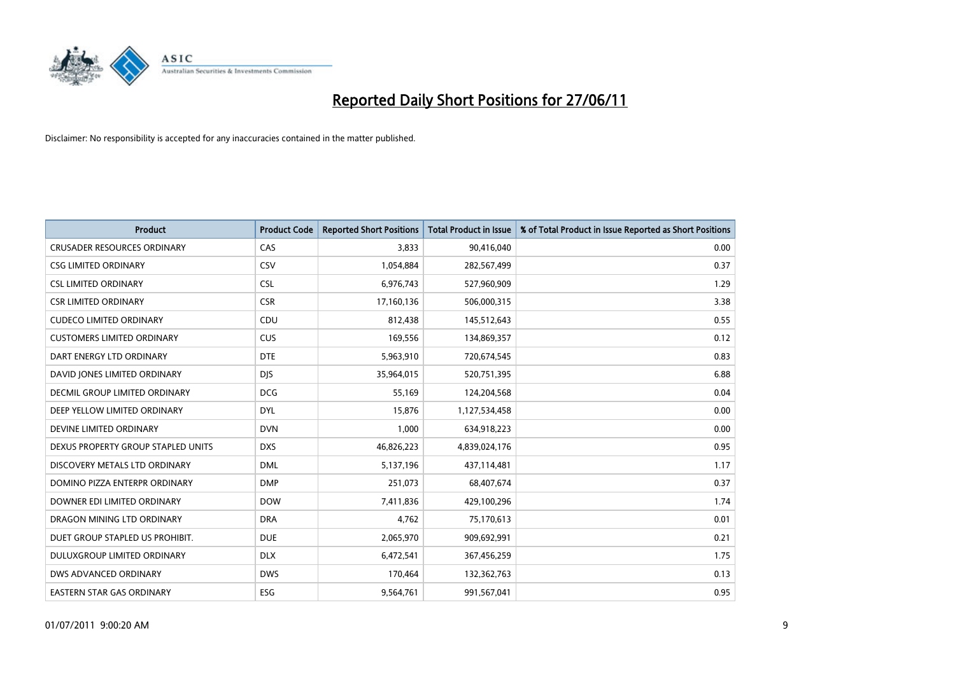

| <b>Product</b>                     | <b>Product Code</b> | <b>Reported Short Positions</b> | <b>Total Product in Issue</b> | % of Total Product in Issue Reported as Short Positions |
|------------------------------------|---------------------|---------------------------------|-------------------------------|---------------------------------------------------------|
| <b>CRUSADER RESOURCES ORDINARY</b> | CAS                 | 3,833                           | 90,416,040                    | 0.00                                                    |
| <b>CSG LIMITED ORDINARY</b>        | <b>CSV</b>          | 1,054,884                       | 282,567,499                   | 0.37                                                    |
| <b>CSL LIMITED ORDINARY</b>        | <b>CSL</b>          | 6,976,743                       | 527,960,909                   | 1.29                                                    |
| <b>CSR LIMITED ORDINARY</b>        | <b>CSR</b>          | 17,160,136                      | 506,000,315                   | 3.38                                                    |
| <b>CUDECO LIMITED ORDINARY</b>     | CDU                 | 812,438                         | 145,512,643                   | 0.55                                                    |
| <b>CUSTOMERS LIMITED ORDINARY</b>  | <b>CUS</b>          | 169,556                         | 134,869,357                   | 0.12                                                    |
| DART ENERGY LTD ORDINARY           | <b>DTE</b>          | 5,963,910                       | 720,674,545                   | 0.83                                                    |
| DAVID JONES LIMITED ORDINARY       | <b>DJS</b>          | 35,964,015                      | 520,751,395                   | 6.88                                                    |
| DECMIL GROUP LIMITED ORDINARY      | <b>DCG</b>          | 55,169                          | 124,204,568                   | 0.04                                                    |
| DEEP YELLOW LIMITED ORDINARY       | <b>DYL</b>          | 15,876                          | 1,127,534,458                 | 0.00                                                    |
| DEVINE LIMITED ORDINARY            | <b>DVN</b>          | 1,000                           | 634,918,223                   | 0.00                                                    |
| DEXUS PROPERTY GROUP STAPLED UNITS | <b>DXS</b>          | 46,826,223                      | 4,839,024,176                 | 0.95                                                    |
| DISCOVERY METALS LTD ORDINARY      | <b>DML</b>          | 5,137,196                       | 437,114,481                   | 1.17                                                    |
| DOMINO PIZZA ENTERPR ORDINARY      | <b>DMP</b>          | 251,073                         | 68,407,674                    | 0.37                                                    |
| DOWNER EDI LIMITED ORDINARY        | <b>DOW</b>          | 7,411,836                       | 429,100,296                   | 1.74                                                    |
| DRAGON MINING LTD ORDINARY         | <b>DRA</b>          | 4,762                           | 75,170,613                    | 0.01                                                    |
| DUET GROUP STAPLED US PROHIBIT.    | <b>DUE</b>          | 2,065,970                       | 909,692,991                   | 0.21                                                    |
| DULUXGROUP LIMITED ORDINARY        | <b>DLX</b>          | 6,472,541                       | 367,456,259                   | 1.75                                                    |
| DWS ADVANCED ORDINARY              | <b>DWS</b>          | 170,464                         | 132,362,763                   | 0.13                                                    |
| EASTERN STAR GAS ORDINARY          | ESG                 | 9,564,761                       | 991,567,041                   | 0.95                                                    |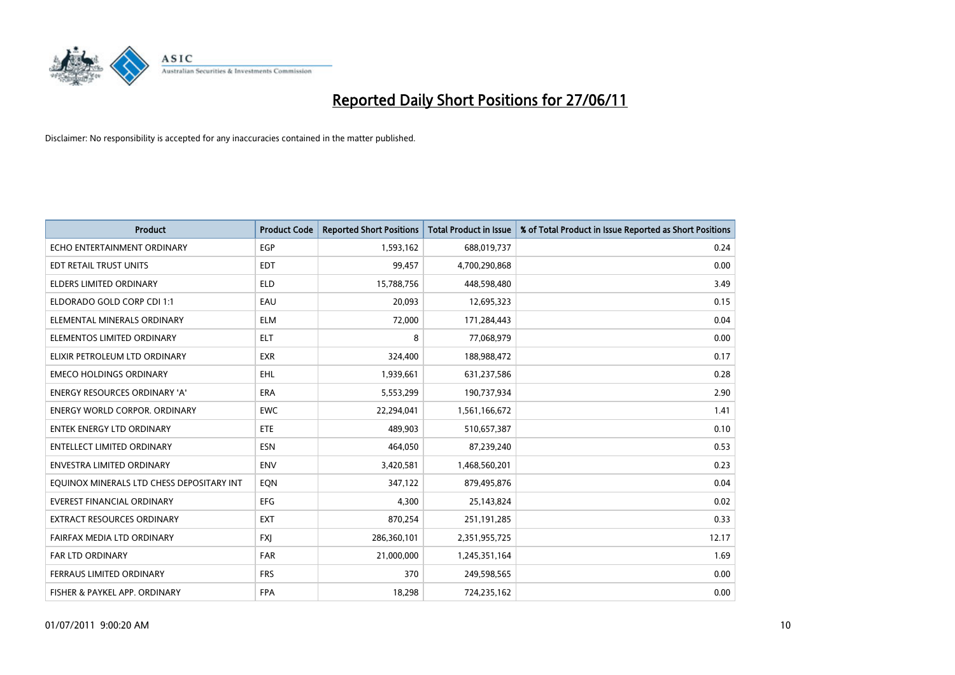

| <b>Product</b>                            | <b>Product Code</b> | <b>Reported Short Positions</b> | <b>Total Product in Issue</b> | % of Total Product in Issue Reported as Short Positions |
|-------------------------------------------|---------------------|---------------------------------|-------------------------------|---------------------------------------------------------|
| ECHO ENTERTAINMENT ORDINARY               | <b>EGP</b>          | 1,593,162                       | 688,019,737                   | 0.24                                                    |
| EDT RETAIL TRUST UNITS                    | <b>EDT</b>          | 99,457                          | 4,700,290,868                 | 0.00                                                    |
| <b>ELDERS LIMITED ORDINARY</b>            | <b>ELD</b>          | 15,788,756                      | 448,598,480                   | 3.49                                                    |
| ELDORADO GOLD CORP CDI 1:1                | EAU                 | 20,093                          | 12,695,323                    | 0.15                                                    |
| ELEMENTAL MINERALS ORDINARY               | <b>ELM</b>          | 72,000                          | 171,284,443                   | 0.04                                                    |
| ELEMENTOS LIMITED ORDINARY                | <b>ELT</b>          | 8                               | 77,068,979                    | 0.00                                                    |
| ELIXIR PETROLEUM LTD ORDINARY             | <b>EXR</b>          | 324,400                         | 188,988,472                   | 0.17                                                    |
| <b>EMECO HOLDINGS ORDINARY</b>            | <b>EHL</b>          | 1,939,661                       | 631,237,586                   | 0.28                                                    |
| <b>ENERGY RESOURCES ORDINARY 'A'</b>      | <b>ERA</b>          | 5,553,299                       | 190,737,934                   | 2.90                                                    |
| <b>ENERGY WORLD CORPOR, ORDINARY</b>      | <b>EWC</b>          | 22,294,041                      | 1,561,166,672                 | 1.41                                                    |
| ENTEK ENERGY LTD ORDINARY                 | <b>ETE</b>          | 489,903                         | 510,657,387                   | 0.10                                                    |
| <b>ENTELLECT LIMITED ORDINARY</b>         | <b>ESN</b>          | 464,050                         | 87,239,240                    | 0.53                                                    |
| <b>ENVESTRA LIMITED ORDINARY</b>          | <b>ENV</b>          | 3,420,581                       | 1,468,560,201                 | 0.23                                                    |
| EQUINOX MINERALS LTD CHESS DEPOSITARY INT | EON                 | 347,122                         | 879,495,876                   | 0.04                                                    |
| <b>EVEREST FINANCIAL ORDINARY</b>         | <b>EFG</b>          | 4,300                           | 25,143,824                    | 0.02                                                    |
| EXTRACT RESOURCES ORDINARY                | <b>EXT</b>          | 870,254                         | 251,191,285                   | 0.33                                                    |
| FAIRFAX MEDIA LTD ORDINARY                | <b>FXI</b>          | 286,360,101                     | 2,351,955,725                 | 12.17                                                   |
| <b>FAR LTD ORDINARY</b>                   | <b>FAR</b>          | 21,000,000                      | 1,245,351,164                 | 1.69                                                    |
| FERRAUS LIMITED ORDINARY                  | <b>FRS</b>          | 370                             | 249,598,565                   | 0.00                                                    |
| FISHER & PAYKEL APP. ORDINARY             | <b>FPA</b>          | 18,298                          | 724,235,162                   | 0.00                                                    |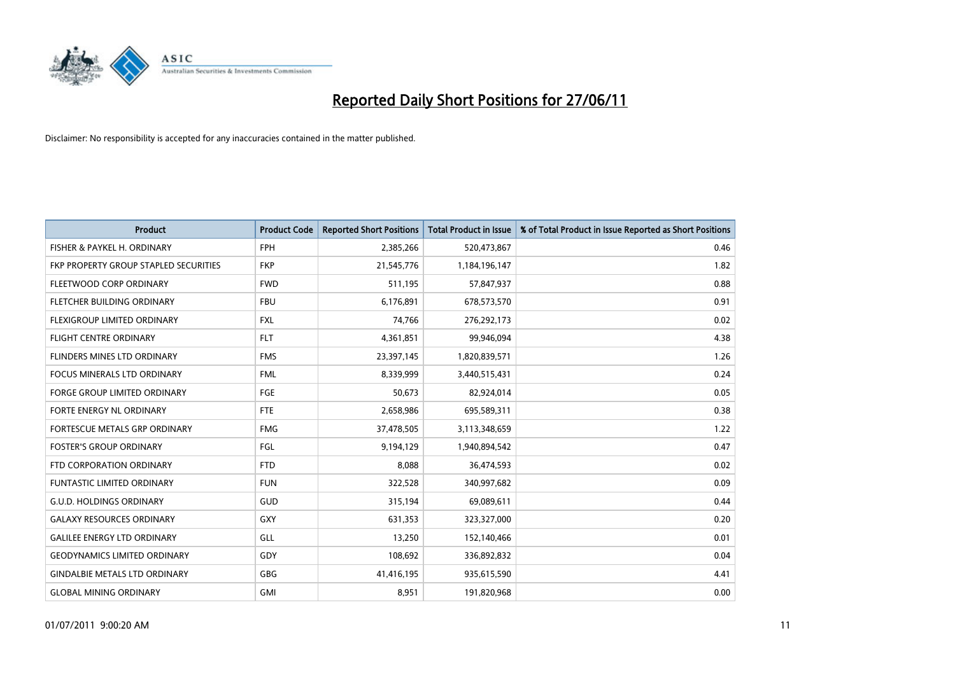

| <b>Product</b>                        | <b>Product Code</b> | <b>Reported Short Positions</b> | <b>Total Product in Issue</b> | % of Total Product in Issue Reported as Short Positions |
|---------------------------------------|---------------------|---------------------------------|-------------------------------|---------------------------------------------------------|
| FISHER & PAYKEL H. ORDINARY           | <b>FPH</b>          | 2,385,266                       | 520,473,867                   | 0.46                                                    |
| FKP PROPERTY GROUP STAPLED SECURITIES | <b>FKP</b>          | 21,545,776                      | 1,184,196,147                 | 1.82                                                    |
| FLEETWOOD CORP ORDINARY               | <b>FWD</b>          | 511,195                         | 57,847,937                    | 0.88                                                    |
| FLETCHER BUILDING ORDINARY            | <b>FBU</b>          | 6,176,891                       | 678,573,570                   | 0.91                                                    |
| FLEXIGROUP LIMITED ORDINARY           | <b>FXL</b>          | 74,766                          | 276,292,173                   | 0.02                                                    |
| <b>FLIGHT CENTRE ORDINARY</b>         | <b>FLT</b>          | 4,361,851                       | 99,946,094                    | 4.38                                                    |
| FLINDERS MINES LTD ORDINARY           | <b>FMS</b>          | 23,397,145                      | 1,820,839,571                 | 1.26                                                    |
| <b>FOCUS MINERALS LTD ORDINARY</b>    | <b>FML</b>          | 8,339,999                       | 3,440,515,431                 | 0.24                                                    |
| <b>FORGE GROUP LIMITED ORDINARY</b>   | <b>FGE</b>          | 50,673                          | 82,924,014                    | 0.05                                                    |
| FORTE ENERGY NL ORDINARY              | <b>FTE</b>          | 2,658,986                       | 695,589,311                   | 0.38                                                    |
| FORTESCUE METALS GRP ORDINARY         | <b>FMG</b>          | 37,478,505                      | 3,113,348,659                 | 1.22                                                    |
| <b>FOSTER'S GROUP ORDINARY</b>        | <b>FGL</b>          | 9,194,129                       | 1,940,894,542                 | 0.47                                                    |
| FTD CORPORATION ORDINARY              | <b>FTD</b>          | 8,088                           | 36,474,593                    | 0.02                                                    |
| FUNTASTIC LIMITED ORDINARY            | <b>FUN</b>          | 322,528                         | 340,997,682                   | 0.09                                                    |
| <b>G.U.D. HOLDINGS ORDINARY</b>       | <b>GUD</b>          | 315,194                         | 69,089,611                    | 0.44                                                    |
| <b>GALAXY RESOURCES ORDINARY</b>      | <b>GXY</b>          | 631,353                         | 323,327,000                   | 0.20                                                    |
| <b>GALILEE ENERGY LTD ORDINARY</b>    | GLL                 | 13,250                          | 152,140,466                   | 0.01                                                    |
| <b>GEODYNAMICS LIMITED ORDINARY</b>   | GDY                 | 108,692                         | 336,892,832                   | 0.04                                                    |
| <b>GINDALBIE METALS LTD ORDINARY</b>  | <b>GBG</b>          | 41,416,195                      | 935,615,590                   | 4.41                                                    |
| <b>GLOBAL MINING ORDINARY</b>         | GMI                 | 8,951                           | 191,820,968                   | 0.00                                                    |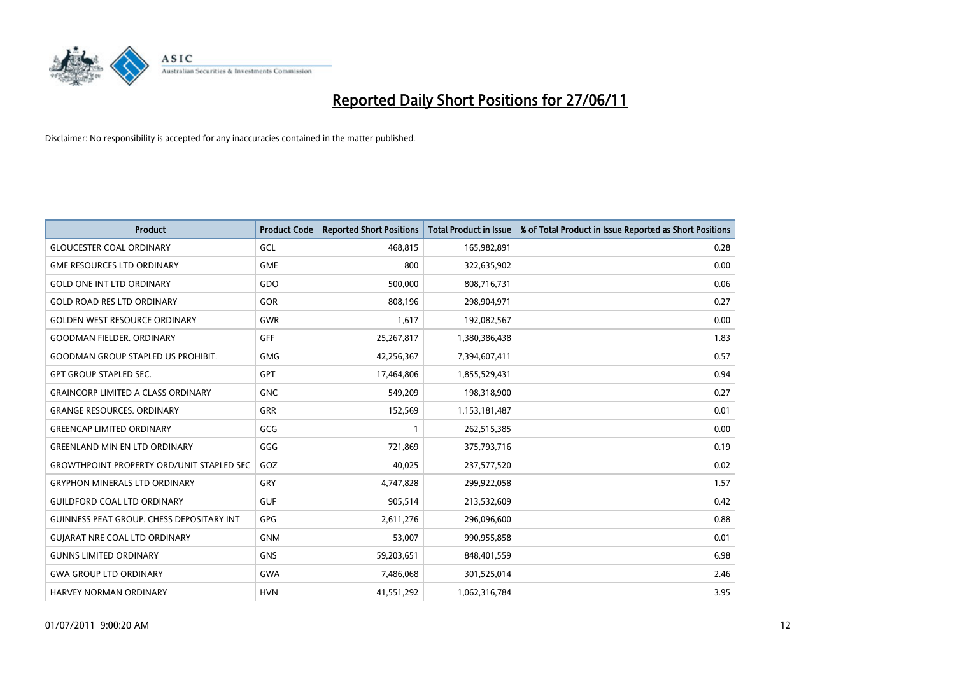

| <b>Product</b>                                   | <b>Product Code</b> | <b>Reported Short Positions</b> | <b>Total Product in Issue</b> | % of Total Product in Issue Reported as Short Positions |
|--------------------------------------------------|---------------------|---------------------------------|-------------------------------|---------------------------------------------------------|
| <b>GLOUCESTER COAL ORDINARY</b>                  | GCL                 | 468,815                         | 165,982,891                   | 0.28                                                    |
| <b>GME RESOURCES LTD ORDINARY</b>                | <b>GME</b>          | 800                             | 322,635,902                   | 0.00                                                    |
| <b>GOLD ONE INT LTD ORDINARY</b>                 | GDO                 | 500,000                         | 808,716,731                   | 0.06                                                    |
| <b>GOLD ROAD RES LTD ORDINARY</b>                | GOR                 | 808,196                         | 298,904,971                   | 0.27                                                    |
| <b>GOLDEN WEST RESOURCE ORDINARY</b>             | <b>GWR</b>          | 1,617                           | 192,082,567                   | 0.00                                                    |
| <b>GOODMAN FIELDER, ORDINARY</b>                 | <b>GFF</b>          | 25,267,817                      | 1,380,386,438                 | 1.83                                                    |
| <b>GOODMAN GROUP STAPLED US PROHIBIT.</b>        | <b>GMG</b>          | 42,256,367                      | 7,394,607,411                 | 0.57                                                    |
| <b>GPT GROUP STAPLED SEC.</b>                    | <b>GPT</b>          | 17,464,806                      | 1,855,529,431                 | 0.94                                                    |
| <b>GRAINCORP LIMITED A CLASS ORDINARY</b>        | <b>GNC</b>          | 549,209                         | 198,318,900                   | 0.27                                                    |
| <b>GRANGE RESOURCES, ORDINARY</b>                | <b>GRR</b>          | 152,569                         | 1,153,181,487                 | 0.01                                                    |
| <b>GREENCAP LIMITED ORDINARY</b>                 | GCG                 | 1                               | 262,515,385                   | 0.00                                                    |
| <b>GREENLAND MIN EN LTD ORDINARY</b>             | GGG                 | 721,869                         | 375,793,716                   | 0.19                                                    |
| <b>GROWTHPOINT PROPERTY ORD/UNIT STAPLED SEC</b> | GOZ                 | 40,025                          | 237,577,520                   | 0.02                                                    |
| <b>GRYPHON MINERALS LTD ORDINARY</b>             | GRY                 | 4,747,828                       | 299,922,058                   | 1.57                                                    |
| <b>GUILDFORD COAL LTD ORDINARY</b>               | <b>GUF</b>          | 905,514                         | 213,532,609                   | 0.42                                                    |
| <b>GUINNESS PEAT GROUP. CHESS DEPOSITARY INT</b> | <b>GPG</b>          | 2,611,276                       | 296,096,600                   | 0.88                                                    |
| <b>GUJARAT NRE COAL LTD ORDINARY</b>             | <b>GNM</b>          | 53,007                          | 990,955,858                   | 0.01                                                    |
| <b>GUNNS LIMITED ORDINARY</b>                    | <b>GNS</b>          | 59,203,651                      | 848,401,559                   | 6.98                                                    |
| <b>GWA GROUP LTD ORDINARY</b>                    | <b>GWA</b>          | 7,486,068                       | 301,525,014                   | 2.46                                                    |
| <b>HARVEY NORMAN ORDINARY</b>                    | <b>HVN</b>          | 41,551,292                      | 1,062,316,784                 | 3.95                                                    |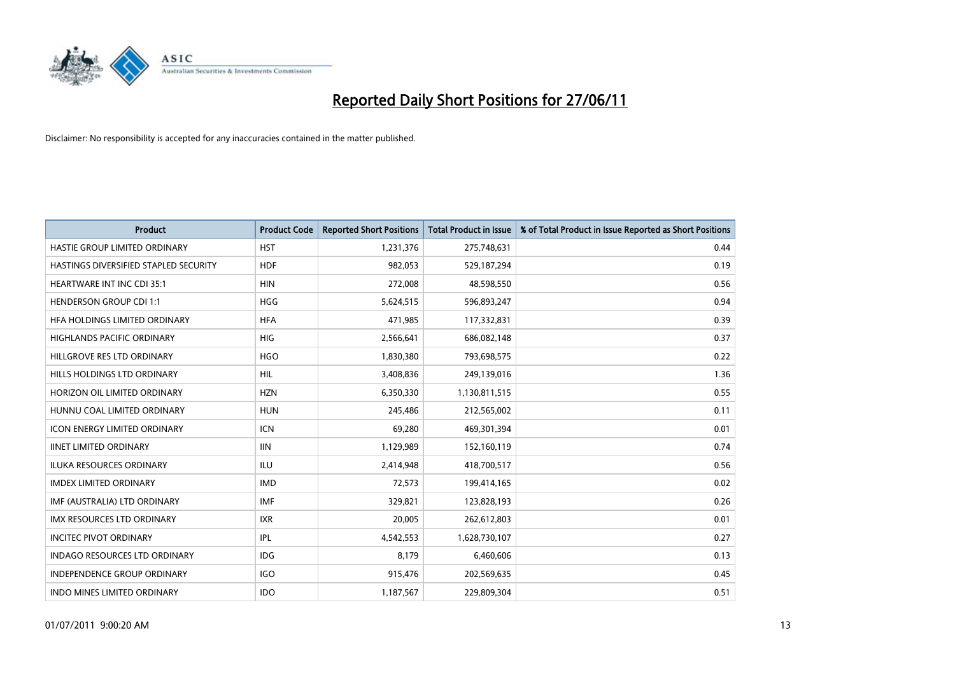

| <b>Product</b>                        | <b>Product Code</b> | <b>Reported Short Positions</b> | <b>Total Product in Issue</b> | % of Total Product in Issue Reported as Short Positions |
|---------------------------------------|---------------------|---------------------------------|-------------------------------|---------------------------------------------------------|
| HASTIE GROUP LIMITED ORDINARY         | <b>HST</b>          | 1,231,376                       | 275,748,631                   | 0.44                                                    |
| HASTINGS DIVERSIFIED STAPLED SECURITY | <b>HDF</b>          | 982,053                         | 529,187,294                   | 0.19                                                    |
| <b>HEARTWARE INT INC CDI 35:1</b>     | <b>HIN</b>          | 272,008                         | 48,598,550                    | 0.56                                                    |
| <b>HENDERSON GROUP CDI 1:1</b>        | <b>HGG</b>          | 5,624,515                       | 596,893,247                   | 0.94                                                    |
| HEA HOLDINGS LIMITED ORDINARY         | <b>HFA</b>          | 471,985                         | 117,332,831                   | 0.39                                                    |
| <b>HIGHLANDS PACIFIC ORDINARY</b>     | <b>HIG</b>          | 2,566,641                       | 686,082,148                   | 0.37                                                    |
| HILLGROVE RES LTD ORDINARY            | <b>HGO</b>          | 1,830,380                       | 793,698,575                   | 0.22                                                    |
| HILLS HOLDINGS LTD ORDINARY           | <b>HIL</b>          | 3,408,836                       | 249,139,016                   | 1.36                                                    |
| HORIZON OIL LIMITED ORDINARY          | <b>HZN</b>          | 6,350,330                       | 1,130,811,515                 | 0.55                                                    |
| HUNNU COAL LIMITED ORDINARY           | <b>HUN</b>          | 245,486                         | 212,565,002                   | 0.11                                                    |
| ICON ENERGY LIMITED ORDINARY          | <b>ICN</b>          | 69,280                          | 469,301,394                   | 0.01                                                    |
| <b>IINET LIMITED ORDINARY</b>         | <b>IIN</b>          | 1,129,989                       | 152,160,119                   | 0.74                                                    |
| ILUKA RESOURCES ORDINARY              | ILU                 | 2,414,948                       | 418,700,517                   | 0.56                                                    |
| <b>IMDEX LIMITED ORDINARY</b>         | <b>IMD</b>          | 72,573                          | 199,414,165                   | 0.02                                                    |
| IMF (AUSTRALIA) LTD ORDINARY          | <b>IMF</b>          | 329,821                         | 123,828,193                   | 0.26                                                    |
| IMX RESOURCES LTD ORDINARY            | <b>IXR</b>          | 20,005                          | 262,612,803                   | 0.01                                                    |
| <b>INCITEC PIVOT ORDINARY</b>         | IPL                 | 4,542,553                       | 1,628,730,107                 | 0.27                                                    |
| INDAGO RESOURCES LTD ORDINARY         | <b>IDG</b>          | 8,179                           | 6,460,606                     | 0.13                                                    |
| <b>INDEPENDENCE GROUP ORDINARY</b>    | IGO                 | 915,476                         | 202,569,635                   | 0.45                                                    |
| INDO MINES LIMITED ORDINARY           | <b>IDO</b>          | 1,187,567                       | 229,809,304                   | 0.51                                                    |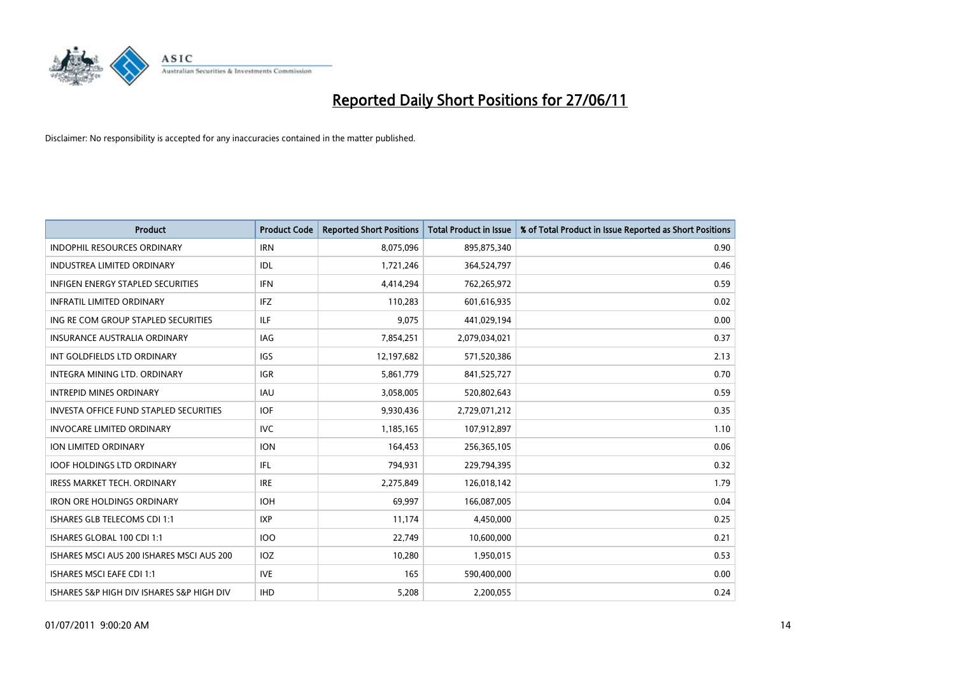

| <b>Product</b>                            | <b>Product Code</b> | <b>Reported Short Positions</b> | <b>Total Product in Issue</b> | % of Total Product in Issue Reported as Short Positions |
|-------------------------------------------|---------------------|---------------------------------|-------------------------------|---------------------------------------------------------|
| <b>INDOPHIL RESOURCES ORDINARY</b>        | <b>IRN</b>          | 8,075,096                       | 895,875,340                   | 0.90                                                    |
| INDUSTREA LIMITED ORDINARY                | IDL                 | 1,721,246                       | 364,524,797                   | 0.46                                                    |
| <b>INFIGEN ENERGY STAPLED SECURITIES</b>  | <b>IFN</b>          | 4,414,294                       | 762,265,972                   | 0.59                                                    |
| <b>INFRATIL LIMITED ORDINARY</b>          | IFZ                 | 110,283                         | 601,616,935                   | 0.02                                                    |
| ING RE COM GROUP STAPLED SECURITIES       | ILF.                | 9,075                           | 441,029,194                   | 0.00                                                    |
| <b>INSURANCE AUSTRALIA ORDINARY</b>       | IAG                 | 7,854,251                       | 2,079,034,021                 | 0.37                                                    |
| INT GOLDFIELDS LTD ORDINARY               | <b>IGS</b>          | 12,197,682                      | 571,520,386                   | 2.13                                                    |
| INTEGRA MINING LTD, ORDINARY              | <b>IGR</b>          | 5,861,779                       | 841,525,727                   | 0.70                                                    |
| <b>INTREPID MINES ORDINARY</b>            | <b>IAU</b>          | 3,058,005                       | 520,802,643                   | 0.59                                                    |
| INVESTA OFFICE FUND STAPLED SECURITIES    | IOF.                | 9,930,436                       | 2,729,071,212                 | 0.35                                                    |
| <b>INVOCARE LIMITED ORDINARY</b>          | <b>IVC</b>          | 1,185,165                       | 107,912,897                   | 1.10                                                    |
| ION LIMITED ORDINARY                      | <b>ION</b>          | 164,453                         | 256,365,105                   | 0.06                                                    |
| <b>IOOF HOLDINGS LTD ORDINARY</b>         | IFL                 | 794,931                         | 229,794,395                   | 0.32                                                    |
| <b>IRESS MARKET TECH. ORDINARY</b>        | <b>IRE</b>          | 2,275,849                       | 126,018,142                   | 1.79                                                    |
| <b>IRON ORE HOLDINGS ORDINARY</b>         | <b>IOH</b>          | 69,997                          | 166,087,005                   | 0.04                                                    |
| ISHARES GLB TELECOMS CDI 1:1              | <b>IXP</b>          | 11,174                          | 4,450,000                     | 0.25                                                    |
| ISHARES GLOBAL 100 CDI 1:1                | 100                 | 22,749                          | 10,600,000                    | 0.21                                                    |
| ISHARES MSCI AUS 200 ISHARES MSCI AUS 200 | <b>IOZ</b>          | 10,280                          | 1,950,015                     | 0.53                                                    |
| <b>ISHARES MSCI EAFE CDI 1:1</b>          | <b>IVE</b>          | 165                             | 590,400,000                   | 0.00                                                    |
| ISHARES S&P HIGH DIV ISHARES S&P HIGH DIV | <b>IHD</b>          | 5,208                           | 2,200,055                     | 0.24                                                    |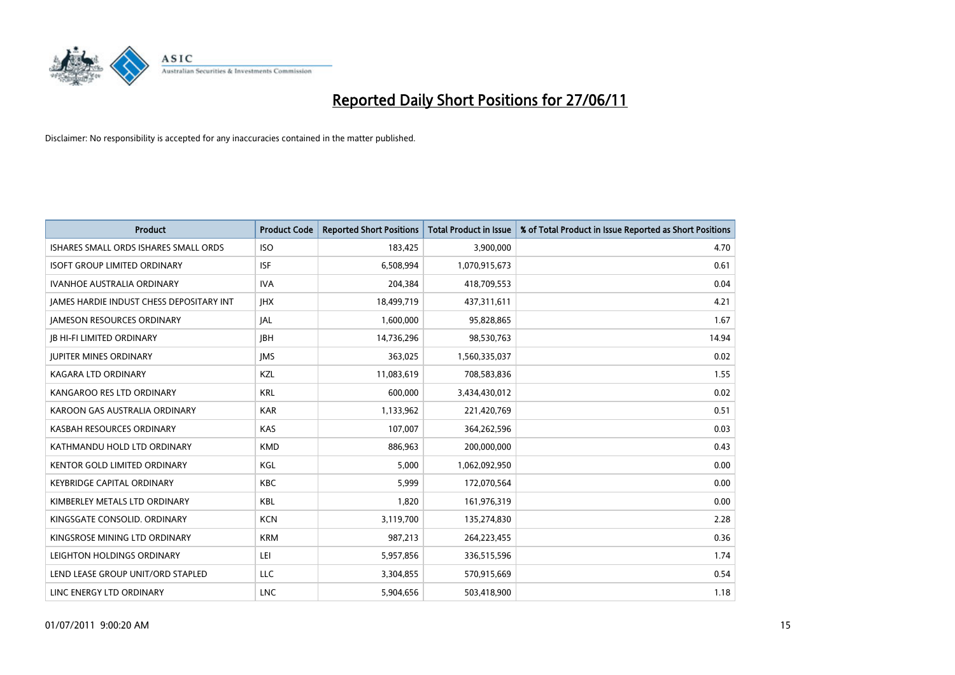

| <b>Product</b>                           | <b>Product Code</b> | <b>Reported Short Positions</b> | <b>Total Product in Issue</b> | % of Total Product in Issue Reported as Short Positions |
|------------------------------------------|---------------------|---------------------------------|-------------------------------|---------------------------------------------------------|
| ISHARES SMALL ORDS ISHARES SMALL ORDS    | <b>ISO</b>          | 183,425                         | 3,900,000                     | 4.70                                                    |
| <b>ISOFT GROUP LIMITED ORDINARY</b>      | <b>ISF</b>          | 6,508,994                       | 1,070,915,673                 | 0.61                                                    |
| <b>IVANHOE AUSTRALIA ORDINARY</b>        | <b>IVA</b>          | 204,384                         | 418,709,553                   | 0.04                                                    |
| JAMES HARDIE INDUST CHESS DEPOSITARY INT | <b>IHX</b>          | 18,499,719                      | 437,311,611                   | 4.21                                                    |
| <b>IAMESON RESOURCES ORDINARY</b>        | JAL                 | 1,600,000                       | 95,828,865                    | 1.67                                                    |
| <b>JB HI-FI LIMITED ORDINARY</b>         | <b>IBH</b>          | 14,736,296                      | 98,530,763                    | 14.94                                                   |
| <b>JUPITER MINES ORDINARY</b>            | <b>IMS</b>          | 363,025                         | 1,560,335,037                 | 0.02                                                    |
| KAGARA LTD ORDINARY                      | KZL                 | 11,083,619                      | 708,583,836                   | 1.55                                                    |
| KANGAROO RES LTD ORDINARY                | <b>KRL</b>          | 600,000                         | 3,434,430,012                 | 0.02                                                    |
| KAROON GAS AUSTRALIA ORDINARY            | <b>KAR</b>          | 1,133,962                       | 221,420,769                   | 0.51                                                    |
| KASBAH RESOURCES ORDINARY                | <b>KAS</b>          | 107,007                         | 364,262,596                   | 0.03                                                    |
| KATHMANDU HOLD LTD ORDINARY              | <b>KMD</b>          | 886,963                         | 200,000,000                   | 0.43                                                    |
| KENTOR GOLD LIMITED ORDINARY             | KGL                 | 5,000                           | 1,062,092,950                 | 0.00                                                    |
| <b>KEYBRIDGE CAPITAL ORDINARY</b>        | <b>KBC</b>          | 5,999                           | 172,070,564                   | 0.00                                                    |
| KIMBERLEY METALS LTD ORDINARY            | <b>KBL</b>          | 1,820                           | 161,976,319                   | 0.00                                                    |
| KINGSGATE CONSOLID. ORDINARY             | <b>KCN</b>          | 3,119,700                       | 135,274,830                   | 2.28                                                    |
| KINGSROSE MINING LTD ORDINARY            | <b>KRM</b>          | 987,213                         | 264,223,455                   | 0.36                                                    |
| LEIGHTON HOLDINGS ORDINARY               | LEI                 | 5,957,856                       | 336,515,596                   | 1.74                                                    |
| LEND LEASE GROUP UNIT/ORD STAPLED        | <b>LLC</b>          | 3,304,855                       | 570,915,669                   | 0.54                                                    |
| LINC ENERGY LTD ORDINARY                 | <b>LNC</b>          | 5,904,656                       | 503,418,900                   | 1.18                                                    |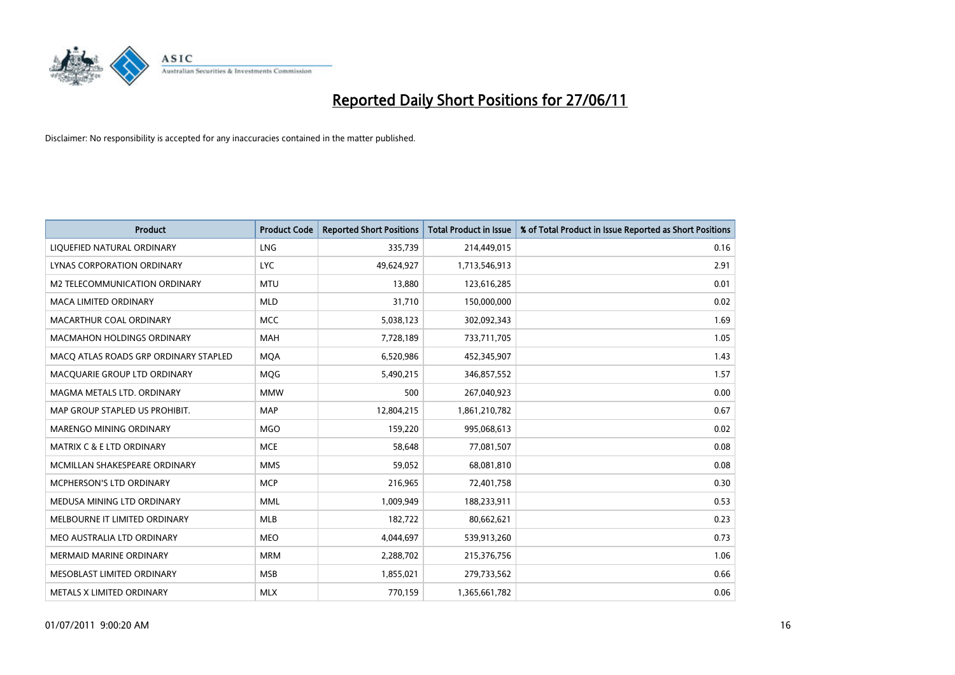

| Product                               | <b>Product Code</b> | <b>Reported Short Positions</b> | <b>Total Product in Issue</b> | % of Total Product in Issue Reported as Short Positions |
|---------------------------------------|---------------------|---------------------------------|-------------------------------|---------------------------------------------------------|
| LIQUEFIED NATURAL ORDINARY            | LNG                 | 335,739                         | 214,449,015                   | 0.16                                                    |
| LYNAS CORPORATION ORDINARY            | <b>LYC</b>          | 49,624,927                      | 1,713,546,913                 | 2.91                                                    |
| M2 TELECOMMUNICATION ORDINARY         | <b>MTU</b>          | 13,880                          | 123,616,285                   | 0.01                                                    |
| MACA LIMITED ORDINARY                 | <b>MLD</b>          | 31,710                          | 150,000,000                   | 0.02                                                    |
| MACARTHUR COAL ORDINARY               | <b>MCC</b>          | 5,038,123                       | 302,092,343                   | 1.69                                                    |
| <b>MACMAHON HOLDINGS ORDINARY</b>     | <b>MAH</b>          | 7,728,189                       | 733,711,705                   | 1.05                                                    |
| MACO ATLAS ROADS GRP ORDINARY STAPLED | <b>MOA</b>          | 6,520,986                       | 452,345,907                   | 1.43                                                    |
| MACQUARIE GROUP LTD ORDINARY          | <b>MQG</b>          | 5,490,215                       | 346,857,552                   | 1.57                                                    |
| MAGMA METALS LTD. ORDINARY            | <b>MMW</b>          | 500                             | 267,040,923                   | 0.00                                                    |
| MAP GROUP STAPLED US PROHIBIT.        | <b>MAP</b>          | 12,804,215                      | 1,861,210,782                 | 0.67                                                    |
| MARENGO MINING ORDINARY               | <b>MGO</b>          | 159,220                         | 995,068,613                   | 0.02                                                    |
| MATRIX C & E LTD ORDINARY             | <b>MCE</b>          | 58,648                          | 77,081,507                    | 0.08                                                    |
| MCMILLAN SHAKESPEARE ORDINARY         | <b>MMS</b>          | 59,052                          | 68,081,810                    | 0.08                                                    |
| MCPHERSON'S LTD ORDINARY              | <b>MCP</b>          | 216,965                         | 72,401,758                    | 0.30                                                    |
| MEDUSA MINING LTD ORDINARY            | <b>MML</b>          | 1,009,949                       | 188,233,911                   | 0.53                                                    |
| MELBOURNE IT LIMITED ORDINARY         | MLB                 | 182,722                         | 80,662,621                    | 0.23                                                    |
| MEO AUSTRALIA LTD ORDINARY            | MEO                 | 4,044,697                       | 539,913,260                   | 0.73                                                    |
| <b>MERMAID MARINE ORDINARY</b>        | <b>MRM</b>          | 2,288,702                       | 215,376,756                   | 1.06                                                    |
| MESOBLAST LIMITED ORDINARY            | <b>MSB</b>          | 1,855,021                       | 279,733,562                   | 0.66                                                    |
| METALS X LIMITED ORDINARY             | <b>MLX</b>          | 770,159                         | 1,365,661,782                 | 0.06                                                    |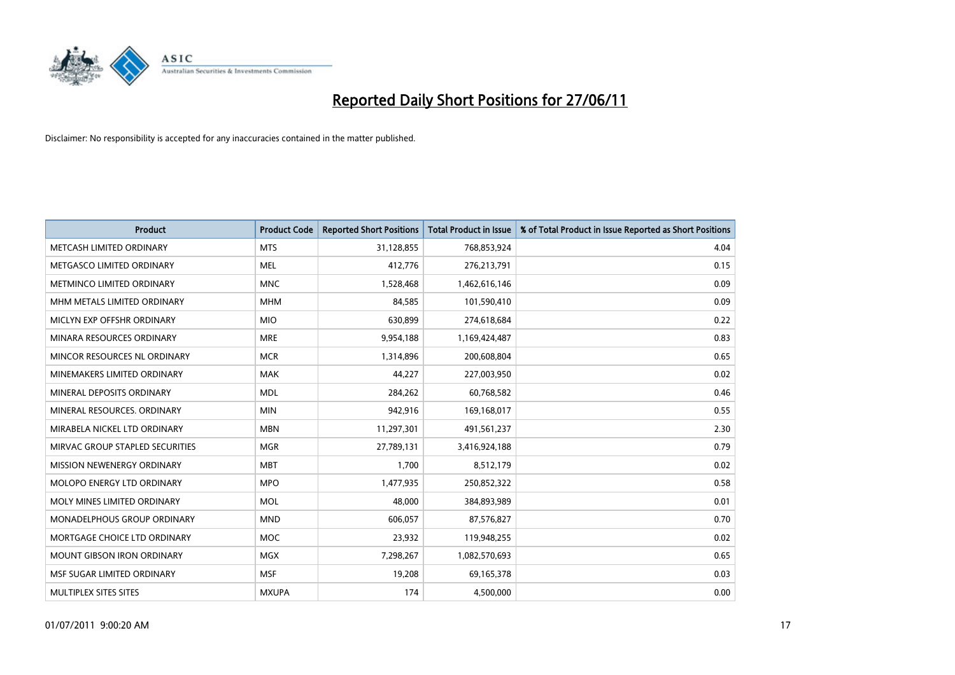

| <b>Product</b>                  | <b>Product Code</b> | <b>Reported Short Positions</b> | <b>Total Product in Issue</b> | % of Total Product in Issue Reported as Short Positions |
|---------------------------------|---------------------|---------------------------------|-------------------------------|---------------------------------------------------------|
| METCASH LIMITED ORDINARY        | <b>MTS</b>          | 31,128,855                      | 768,853,924                   | 4.04                                                    |
| METGASCO LIMITED ORDINARY       | MEL                 | 412,776                         | 276,213,791                   | 0.15                                                    |
| METMINCO LIMITED ORDINARY       | <b>MNC</b>          | 1,528,468                       | 1,462,616,146                 | 0.09                                                    |
| MHM METALS LIMITED ORDINARY     | <b>MHM</b>          | 84,585                          | 101,590,410                   | 0.09                                                    |
| MICLYN EXP OFFSHR ORDINARY      | <b>MIO</b>          | 630,899                         | 274,618,684                   | 0.22                                                    |
| MINARA RESOURCES ORDINARY       | <b>MRE</b>          | 9,954,188                       | 1,169,424,487                 | 0.83                                                    |
| MINCOR RESOURCES NL ORDINARY    | <b>MCR</b>          | 1,314,896                       | 200,608,804                   | 0.65                                                    |
| MINEMAKERS LIMITED ORDINARY     | <b>MAK</b>          | 44,227                          | 227,003,950                   | 0.02                                                    |
| MINERAL DEPOSITS ORDINARY       | <b>MDL</b>          | 284,262                         | 60,768,582                    | 0.46                                                    |
| MINERAL RESOURCES, ORDINARY     | <b>MIN</b>          | 942,916                         | 169,168,017                   | 0.55                                                    |
| MIRABELA NICKEL LTD ORDINARY    | <b>MBN</b>          | 11,297,301                      | 491,561,237                   | 2.30                                                    |
| MIRVAC GROUP STAPLED SECURITIES | <b>MGR</b>          | 27,789,131                      | 3,416,924,188                 | 0.79                                                    |
| MISSION NEWENERGY ORDINARY      | <b>MBT</b>          | 1,700                           | 8,512,179                     | 0.02                                                    |
| MOLOPO ENERGY LTD ORDINARY      | <b>MPO</b>          | 1,477,935                       | 250,852,322                   | 0.58                                                    |
| MOLY MINES LIMITED ORDINARY     | <b>MOL</b>          | 48,000                          | 384,893,989                   | 0.01                                                    |
| MONADELPHOUS GROUP ORDINARY     | <b>MND</b>          | 606,057                         | 87,576,827                    | 0.70                                                    |
| MORTGAGE CHOICE LTD ORDINARY    | MOC                 | 23,932                          | 119,948,255                   | 0.02                                                    |
| MOUNT GIBSON IRON ORDINARY      | <b>MGX</b>          | 7,298,267                       | 1,082,570,693                 | 0.65                                                    |
| MSF SUGAR LIMITED ORDINARY      | <b>MSF</b>          | 19,208                          | 69,165,378                    | 0.03                                                    |
| MULTIPLEX SITES SITES           | <b>MXUPA</b>        | 174                             | 4,500,000                     | 0.00                                                    |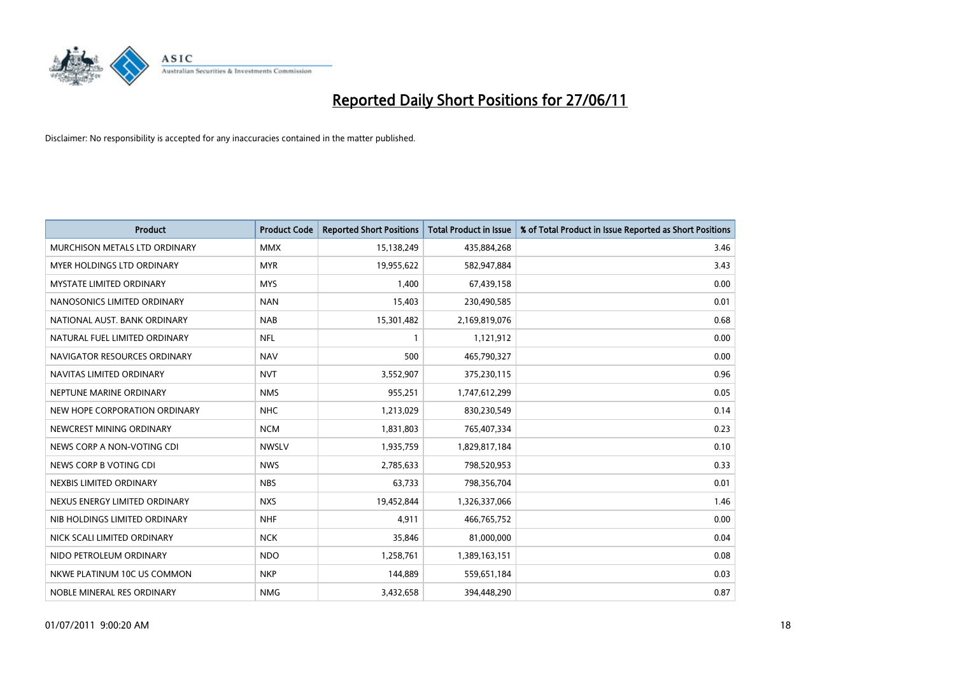

| <b>Product</b>                    | <b>Product Code</b> | <b>Reported Short Positions</b> | <b>Total Product in Issue</b> | % of Total Product in Issue Reported as Short Positions |
|-----------------------------------|---------------------|---------------------------------|-------------------------------|---------------------------------------------------------|
| MURCHISON METALS LTD ORDINARY     | <b>MMX</b>          | 15,138,249                      | 435,884,268                   | 3.46                                                    |
| <b>MYER HOLDINGS LTD ORDINARY</b> | <b>MYR</b>          | 19,955,622                      | 582,947,884                   | 3.43                                                    |
| <b>MYSTATE LIMITED ORDINARY</b>   | <b>MYS</b>          | 1,400                           | 67,439,158                    | 0.00                                                    |
| NANOSONICS LIMITED ORDINARY       | <b>NAN</b>          | 15,403                          | 230,490,585                   | 0.01                                                    |
| NATIONAL AUST, BANK ORDINARY      | <b>NAB</b>          | 15,301,482                      | 2,169,819,076                 | 0.68                                                    |
| NATURAL FUEL LIMITED ORDINARY     | <b>NFL</b>          | $\mathbf{1}$                    | 1,121,912                     | 0.00                                                    |
| NAVIGATOR RESOURCES ORDINARY      | <b>NAV</b>          | 500                             | 465,790,327                   | 0.00                                                    |
| NAVITAS LIMITED ORDINARY          | <b>NVT</b>          | 3,552,907                       | 375,230,115                   | 0.96                                                    |
| NEPTUNE MARINE ORDINARY           | <b>NMS</b>          | 955,251                         | 1,747,612,299                 | 0.05                                                    |
| NEW HOPE CORPORATION ORDINARY     | <b>NHC</b>          | 1,213,029                       | 830,230,549                   | 0.14                                                    |
| NEWCREST MINING ORDINARY          | <b>NCM</b>          | 1,831,803                       | 765,407,334                   | 0.23                                                    |
| NEWS CORP A NON-VOTING CDI        | <b>NWSLV</b>        | 1,935,759                       | 1,829,817,184                 | 0.10                                                    |
| NEWS CORP B VOTING CDI            | <b>NWS</b>          | 2,785,633                       | 798,520,953                   | 0.33                                                    |
| NEXBIS LIMITED ORDINARY           | <b>NBS</b>          | 63,733                          | 798,356,704                   | 0.01                                                    |
| NEXUS ENERGY LIMITED ORDINARY     | <b>NXS</b>          | 19,452,844                      | 1,326,337,066                 | 1.46                                                    |
| NIB HOLDINGS LIMITED ORDINARY     | <b>NHF</b>          | 4,911                           | 466,765,752                   | 0.00                                                    |
| NICK SCALI LIMITED ORDINARY       | <b>NCK</b>          | 35,846                          | 81,000,000                    | 0.04                                                    |
| NIDO PETROLEUM ORDINARY           | <b>NDO</b>          | 1,258,761                       | 1,389,163,151                 | 0.08                                                    |
| NKWE PLATINUM 10C US COMMON       | <b>NKP</b>          | 144,889                         | 559,651,184                   | 0.03                                                    |
| NOBLE MINERAL RES ORDINARY        | <b>NMG</b>          | 3,432,658                       | 394,448,290                   | 0.87                                                    |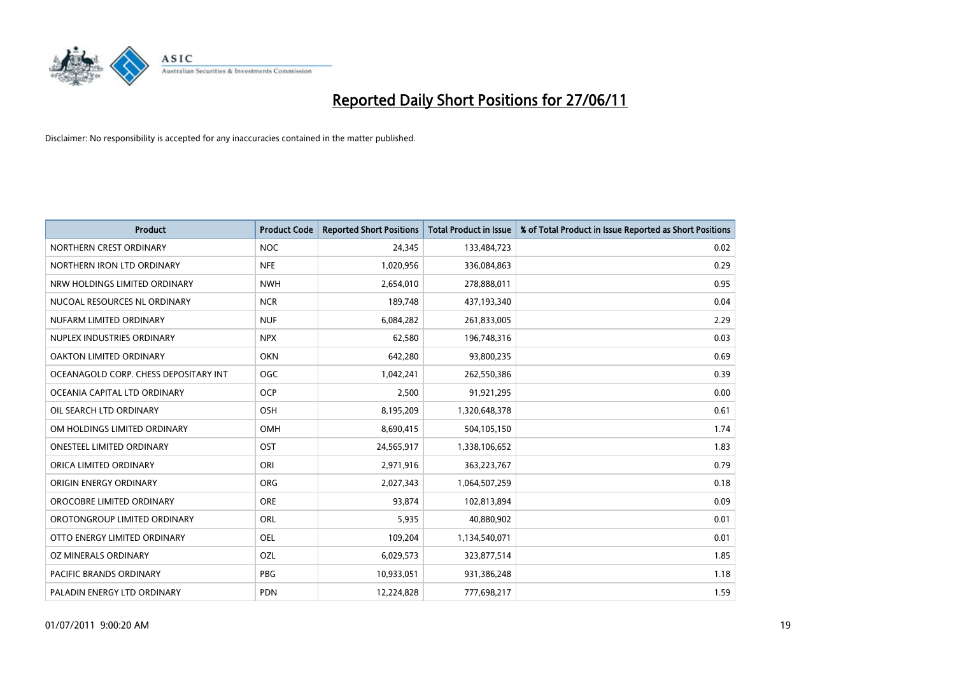

| <b>Product</b>                        | <b>Product Code</b> | <b>Reported Short Positions</b> | <b>Total Product in Issue</b> | % of Total Product in Issue Reported as Short Positions |
|---------------------------------------|---------------------|---------------------------------|-------------------------------|---------------------------------------------------------|
| NORTHERN CREST ORDINARY               | <b>NOC</b>          | 24,345                          | 133,484,723                   | 0.02                                                    |
| NORTHERN IRON LTD ORDINARY            | <b>NFE</b>          | 1,020,956                       | 336,084,863                   | 0.29                                                    |
| NRW HOLDINGS LIMITED ORDINARY         | <b>NWH</b>          | 2,654,010                       | 278,888,011                   | 0.95                                                    |
| NUCOAL RESOURCES NL ORDINARY          | <b>NCR</b>          | 189,748                         | 437,193,340                   | 0.04                                                    |
| NUFARM LIMITED ORDINARY               | <b>NUF</b>          | 6,084,282                       | 261,833,005                   | 2.29                                                    |
| NUPLEX INDUSTRIES ORDINARY            | <b>NPX</b>          | 62,580                          | 196,748,316                   | 0.03                                                    |
| OAKTON LIMITED ORDINARY               | <b>OKN</b>          | 642,280                         | 93,800,235                    | 0.69                                                    |
| OCEANAGOLD CORP. CHESS DEPOSITARY INT | <b>OGC</b>          | 1,042,241                       | 262,550,386                   | 0.39                                                    |
| OCEANIA CAPITAL LTD ORDINARY          | <b>OCP</b>          | 2,500                           | 91,921,295                    | 0.00                                                    |
| OIL SEARCH LTD ORDINARY               | OSH                 | 8,195,209                       | 1,320,648,378                 | 0.61                                                    |
| OM HOLDINGS LIMITED ORDINARY          | OMH                 | 8,690,415                       | 504,105,150                   | 1.74                                                    |
| <b>ONESTEEL LIMITED ORDINARY</b>      | OST                 | 24,565,917                      | 1,338,106,652                 | 1.83                                                    |
| ORICA LIMITED ORDINARY                | ORI                 | 2,971,916                       | 363,223,767                   | 0.79                                                    |
| ORIGIN ENERGY ORDINARY                | <b>ORG</b>          | 2,027,343                       | 1,064,507,259                 | 0.18                                                    |
| OROCOBRE LIMITED ORDINARY             | <b>ORE</b>          | 93,874                          | 102,813,894                   | 0.09                                                    |
| OROTONGROUP LIMITED ORDINARY          | ORL                 | 5,935                           | 40,880,902                    | 0.01                                                    |
| OTTO ENERGY LIMITED ORDINARY          | OEL                 | 109,204                         | 1,134,540,071                 | 0.01                                                    |
| <b>OZ MINERALS ORDINARY</b>           | OZL                 | 6,029,573                       | 323,877,514                   | 1.85                                                    |
| <b>PACIFIC BRANDS ORDINARY</b>        | <b>PBG</b>          | 10,933,051                      | 931,386,248                   | 1.18                                                    |
| PALADIN ENERGY LTD ORDINARY           | <b>PDN</b>          | 12,224,828                      | 777,698,217                   | 1.59                                                    |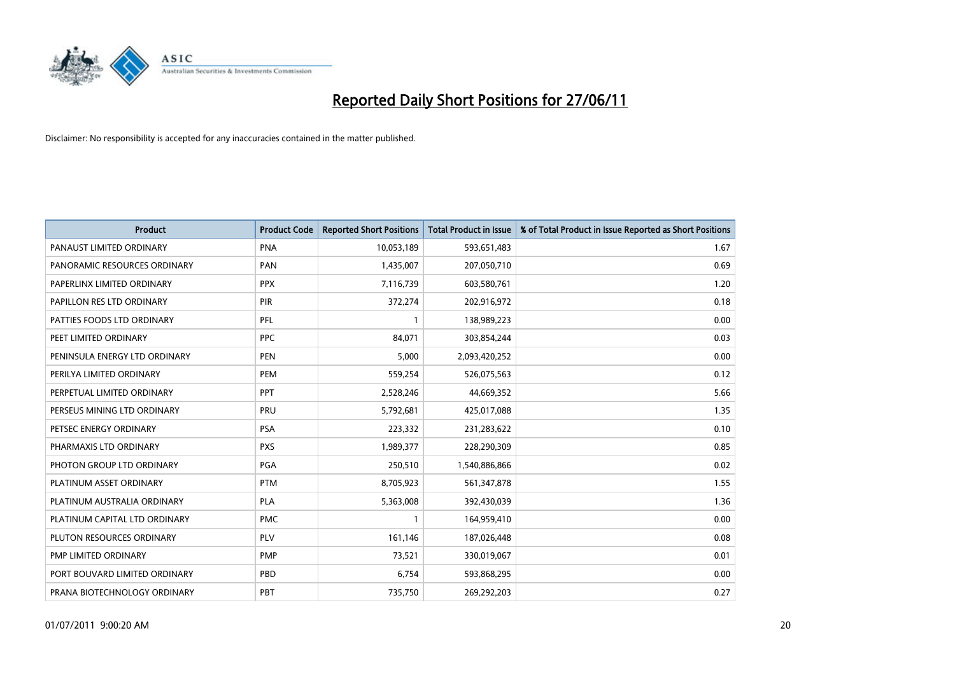

| <b>Product</b>                | <b>Product Code</b> | <b>Reported Short Positions</b> | <b>Total Product in Issue</b> | % of Total Product in Issue Reported as Short Positions |
|-------------------------------|---------------------|---------------------------------|-------------------------------|---------------------------------------------------------|
| PANAUST LIMITED ORDINARY      | <b>PNA</b>          | 10,053,189                      | 593,651,483                   | 1.67                                                    |
| PANORAMIC RESOURCES ORDINARY  | PAN                 | 1,435,007                       | 207,050,710                   | 0.69                                                    |
| PAPERLINX LIMITED ORDINARY    | <b>PPX</b>          | 7,116,739                       | 603,580,761                   | 1.20                                                    |
| PAPILLON RES LTD ORDINARY     | PIR                 | 372,274                         | 202,916,972                   | 0.18                                                    |
| PATTIES FOODS LTD ORDINARY    | PFL                 | $\mathbf{1}$                    | 138,989,223                   | 0.00                                                    |
| PEET LIMITED ORDINARY         | <b>PPC</b>          | 84,071                          | 303,854,244                   | 0.03                                                    |
| PENINSULA ENERGY LTD ORDINARY | <b>PEN</b>          | 5,000                           | 2,093,420,252                 | 0.00                                                    |
| PERILYA LIMITED ORDINARY      | PEM                 | 559,254                         | 526,075,563                   | 0.12                                                    |
| PERPETUAL LIMITED ORDINARY    | <b>PPT</b>          | 2,528,246                       | 44,669,352                    | 5.66                                                    |
| PERSEUS MINING LTD ORDINARY   | PRU                 | 5,792,681                       | 425,017,088                   | 1.35                                                    |
| PETSEC ENERGY ORDINARY        | <b>PSA</b>          | 223,332                         | 231,283,622                   | 0.10                                                    |
| PHARMAXIS LTD ORDINARY        | <b>PXS</b>          | 1,989,377                       | 228,290,309                   | 0.85                                                    |
| PHOTON GROUP LTD ORDINARY     | PGA                 | 250,510                         | 1,540,886,866                 | 0.02                                                    |
| PLATINUM ASSET ORDINARY       | <b>PTM</b>          | 8,705,923                       | 561,347,878                   | 1.55                                                    |
| PLATINUM AUSTRALIA ORDINARY   | <b>PLA</b>          | 5,363,008                       | 392,430,039                   | 1.36                                                    |
| PLATINUM CAPITAL LTD ORDINARY | <b>PMC</b>          |                                 | 164,959,410                   | 0.00                                                    |
| PLUTON RESOURCES ORDINARY     | PLV                 | 161,146                         | 187,026,448                   | 0.08                                                    |
| PMP LIMITED ORDINARY          | <b>PMP</b>          | 73,521                          | 330,019,067                   | 0.01                                                    |
| PORT BOUVARD LIMITED ORDINARY | PBD                 | 6,754                           | 593,868,295                   | 0.00                                                    |
| PRANA BIOTECHNOLOGY ORDINARY  | PBT                 | 735,750                         | 269,292,203                   | 0.27                                                    |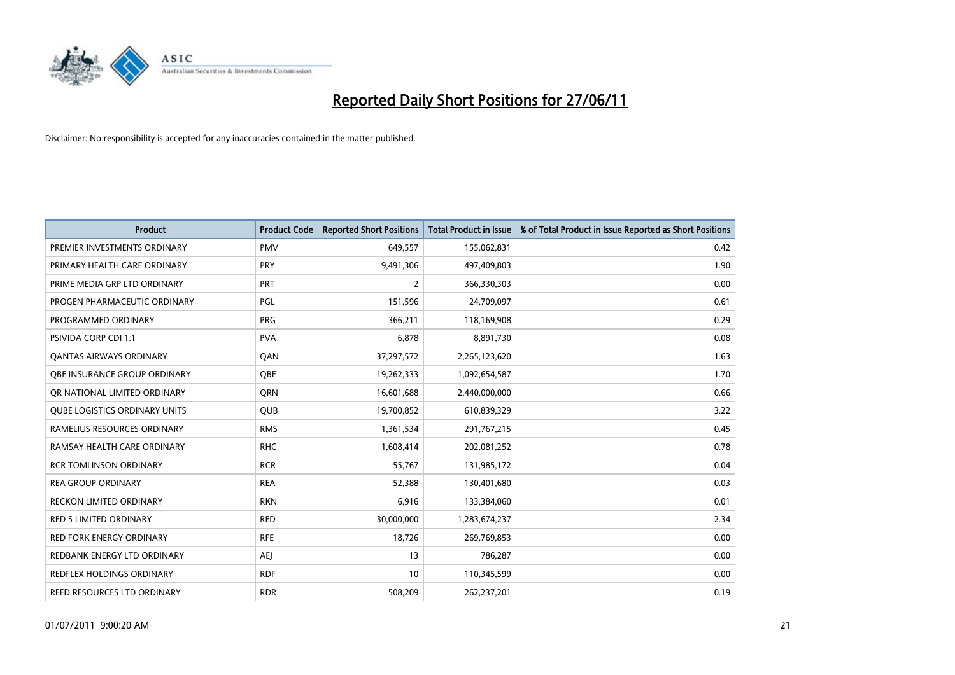

| <b>Product</b>                       | <b>Product Code</b> | <b>Reported Short Positions</b> | <b>Total Product in Issue</b> | % of Total Product in Issue Reported as Short Positions |
|--------------------------------------|---------------------|---------------------------------|-------------------------------|---------------------------------------------------------|
| PREMIER INVESTMENTS ORDINARY         | <b>PMV</b>          | 649,557                         | 155,062,831                   | 0.42                                                    |
| PRIMARY HEALTH CARE ORDINARY         | <b>PRY</b>          | 9,491,306                       | 497,409,803                   | 1.90                                                    |
| PRIME MEDIA GRP LTD ORDINARY         | <b>PRT</b>          | $\overline{2}$                  | 366,330,303                   | 0.00                                                    |
| PROGEN PHARMACEUTIC ORDINARY         | <b>PGL</b>          | 151,596                         | 24,709,097                    | 0.61                                                    |
| PROGRAMMED ORDINARY                  | <b>PRG</b>          | 366,211                         | 118,169,908                   | 0.29                                                    |
| <b>PSIVIDA CORP CDI 1:1</b>          | <b>PVA</b>          | 6,878                           | 8,891,730                     | 0.08                                                    |
| <b>QANTAS AIRWAYS ORDINARY</b>       | QAN                 | 37,297,572                      | 2,265,123,620                 | 1.63                                                    |
| OBE INSURANCE GROUP ORDINARY         | <b>OBE</b>          | 19,262,333                      | 1,092,654,587                 | 1.70                                                    |
| OR NATIONAL LIMITED ORDINARY         | <b>ORN</b>          | 16,601,688                      | 2,440,000,000                 | 0.66                                                    |
| <b>QUBE LOGISTICS ORDINARY UNITS</b> | <b>QUB</b>          | 19,700,852                      | 610,839,329                   | 3.22                                                    |
| RAMELIUS RESOURCES ORDINARY          | <b>RMS</b>          | 1,361,534                       | 291,767,215                   | 0.45                                                    |
| RAMSAY HEALTH CARE ORDINARY          | <b>RHC</b>          | 1,608,414                       | 202,081,252                   | 0.78                                                    |
| <b>RCR TOMLINSON ORDINARY</b>        | <b>RCR</b>          | 55,767                          | 131,985,172                   | 0.04                                                    |
| <b>REA GROUP ORDINARY</b>            | <b>REA</b>          | 52,388                          | 130,401,680                   | 0.03                                                    |
| <b>RECKON LIMITED ORDINARY</b>       | <b>RKN</b>          | 6,916                           | 133,384,060                   | 0.01                                                    |
| RED 5 LIMITED ORDINARY               | <b>RED</b>          | 30,000,000                      | 1,283,674,237                 | 2.34                                                    |
| <b>RED FORK ENERGY ORDINARY</b>      | <b>RFE</b>          | 18,726                          | 269,769,853                   | 0.00                                                    |
| REDBANK ENERGY LTD ORDINARY          | AEJ                 | 13                              | 786,287                       | 0.00                                                    |
| <b>REDFLEX HOLDINGS ORDINARY</b>     | <b>RDF</b>          | 10                              | 110,345,599                   | 0.00                                                    |
| REED RESOURCES LTD ORDINARY          | <b>RDR</b>          | 508,209                         | 262,237,201                   | 0.19                                                    |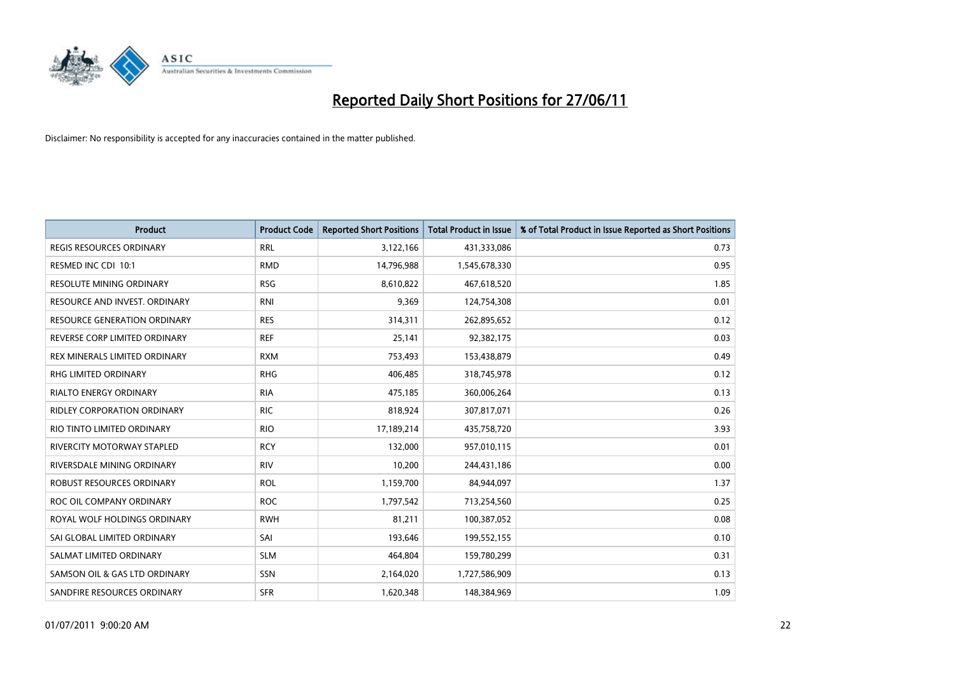

| <b>Product</b>                      | <b>Product Code</b> | <b>Reported Short Positions</b> | <b>Total Product in Issue</b> | % of Total Product in Issue Reported as Short Positions |
|-------------------------------------|---------------------|---------------------------------|-------------------------------|---------------------------------------------------------|
| <b>REGIS RESOURCES ORDINARY</b>     | <b>RRL</b>          | 3,122,166                       | 431,333,086                   | 0.73                                                    |
| RESMED INC CDI 10:1                 | <b>RMD</b>          | 14,796,988                      | 1,545,678,330                 | 0.95                                                    |
| <b>RESOLUTE MINING ORDINARY</b>     | <b>RSG</b>          | 8,610,822                       | 467,618,520                   | 1.85                                                    |
| RESOURCE AND INVEST. ORDINARY       | <b>RNI</b>          | 9,369                           | 124,754,308                   | 0.01                                                    |
| <b>RESOURCE GENERATION ORDINARY</b> | <b>RES</b>          | 314,311                         | 262,895,652                   | 0.12                                                    |
| REVERSE CORP LIMITED ORDINARY       | <b>REF</b>          | 25,141                          | 92,382,175                    | 0.03                                                    |
| REX MINERALS LIMITED ORDINARY       | <b>RXM</b>          | 753,493                         | 153,438,879                   | 0.49                                                    |
| <b>RHG LIMITED ORDINARY</b>         | <b>RHG</b>          | 406,485                         | 318,745,978                   | 0.12                                                    |
| RIALTO ENERGY ORDINARY              | <b>RIA</b>          | 475,185                         | 360,006,264                   | 0.13                                                    |
| RIDLEY CORPORATION ORDINARY         | <b>RIC</b>          | 818,924                         | 307,817,071                   | 0.26                                                    |
| RIO TINTO LIMITED ORDINARY          | <b>RIO</b>          | 17,189,214                      | 435,758,720                   | 3.93                                                    |
| RIVERCITY MOTORWAY STAPLED          | <b>RCY</b>          | 132,000                         | 957,010,115                   | 0.01                                                    |
| RIVERSDALE MINING ORDINARY          | <b>RIV</b>          | 10,200                          | 244,431,186                   | 0.00                                                    |
| ROBUST RESOURCES ORDINARY           | <b>ROL</b>          | 1,159,700                       | 84,944,097                    | 1.37                                                    |
| ROC OIL COMPANY ORDINARY            | <b>ROC</b>          | 1,797,542                       | 713,254,560                   | 0.25                                                    |
| ROYAL WOLF HOLDINGS ORDINARY        | <b>RWH</b>          | 81,211                          | 100,387,052                   | 0.08                                                    |
| SAI GLOBAL LIMITED ORDINARY         | SAI                 | 193,646                         | 199,552,155                   | 0.10                                                    |
| SALMAT LIMITED ORDINARY             | <b>SLM</b>          | 464,804                         | 159,780,299                   | 0.31                                                    |
| SAMSON OIL & GAS LTD ORDINARY       | SSN                 | 2,164,020                       | 1,727,586,909                 | 0.13                                                    |
| SANDFIRE RESOURCES ORDINARY         | <b>SFR</b>          | 1,620,348                       | 148,384,969                   | 1.09                                                    |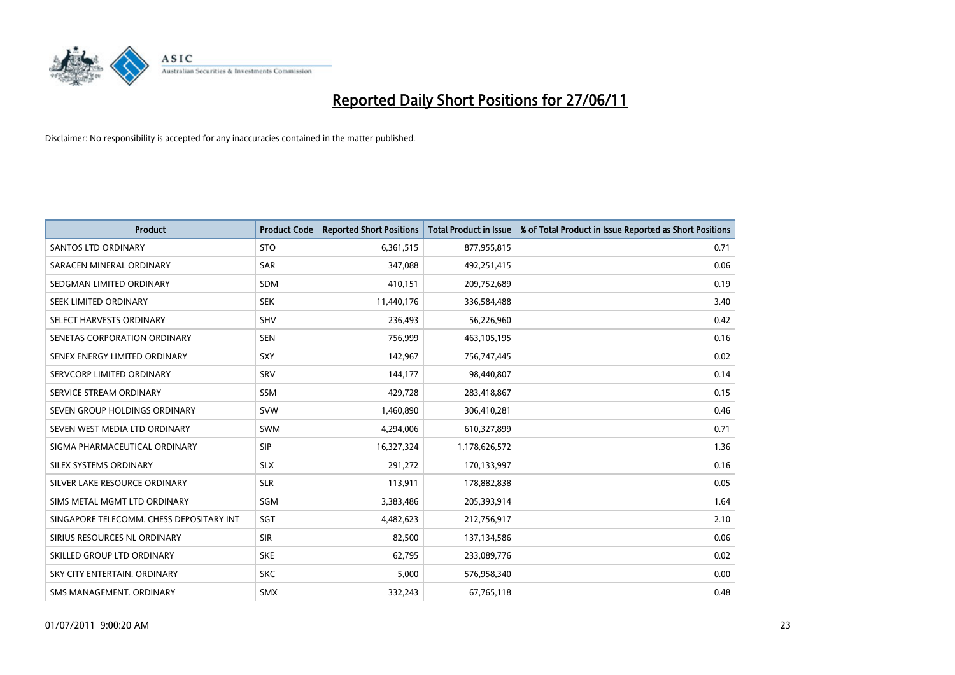

| <b>Product</b>                           | <b>Product Code</b> | <b>Reported Short Positions</b> | <b>Total Product in Issue</b> | % of Total Product in Issue Reported as Short Positions |
|------------------------------------------|---------------------|---------------------------------|-------------------------------|---------------------------------------------------------|
| <b>SANTOS LTD ORDINARY</b>               | <b>STO</b>          | 6,361,515                       | 877,955,815                   | 0.71                                                    |
| SARACEN MINERAL ORDINARY                 | SAR                 | 347,088                         | 492,251,415                   | 0.06                                                    |
| SEDGMAN LIMITED ORDINARY                 | <b>SDM</b>          | 410,151                         | 209,752,689                   | 0.19                                                    |
| SEEK LIMITED ORDINARY                    | <b>SEK</b>          | 11,440,176                      | 336,584,488                   | 3.40                                                    |
| SELECT HARVESTS ORDINARY                 | <b>SHV</b>          | 236,493                         | 56,226,960                    | 0.42                                                    |
| SENETAS CORPORATION ORDINARY             | <b>SEN</b>          | 756,999                         | 463,105,195                   | 0.16                                                    |
| SENEX ENERGY LIMITED ORDINARY            | <b>SXY</b>          | 142,967                         | 756,747,445                   | 0.02                                                    |
| SERVCORP LIMITED ORDINARY                | SRV                 | 144,177                         | 98,440,807                    | 0.14                                                    |
| SERVICE STREAM ORDINARY                  | SSM                 | 429,728                         | 283,418,867                   | 0.15                                                    |
| SEVEN GROUP HOLDINGS ORDINARY            | <b>SVW</b>          | 1,460,890                       | 306,410,281                   | 0.46                                                    |
| SEVEN WEST MEDIA LTD ORDINARY            | SWM                 | 4,294,006                       | 610,327,899                   | 0.71                                                    |
| SIGMA PHARMACEUTICAL ORDINARY            | <b>SIP</b>          | 16,327,324                      | 1,178,626,572                 | 1.36                                                    |
| SILEX SYSTEMS ORDINARY                   | <b>SLX</b>          | 291,272                         | 170,133,997                   | 0.16                                                    |
| SILVER LAKE RESOURCE ORDINARY            | <b>SLR</b>          | 113,911                         | 178,882,838                   | 0.05                                                    |
| SIMS METAL MGMT LTD ORDINARY             | SGM                 | 3,383,486                       | 205,393,914                   | 1.64                                                    |
| SINGAPORE TELECOMM. CHESS DEPOSITARY INT | SGT                 | 4,482,623                       | 212,756,917                   | 2.10                                                    |
| SIRIUS RESOURCES NL ORDINARY             | <b>SIR</b>          | 82,500                          | 137,134,586                   | 0.06                                                    |
| SKILLED GROUP LTD ORDINARY               | <b>SKE</b>          | 62,795                          | 233,089,776                   | 0.02                                                    |
| SKY CITY ENTERTAIN, ORDINARY             | <b>SKC</b>          | 5,000                           | 576,958,340                   | 0.00                                                    |
| SMS MANAGEMENT. ORDINARY                 | <b>SMX</b>          | 332,243                         | 67,765,118                    | 0.48                                                    |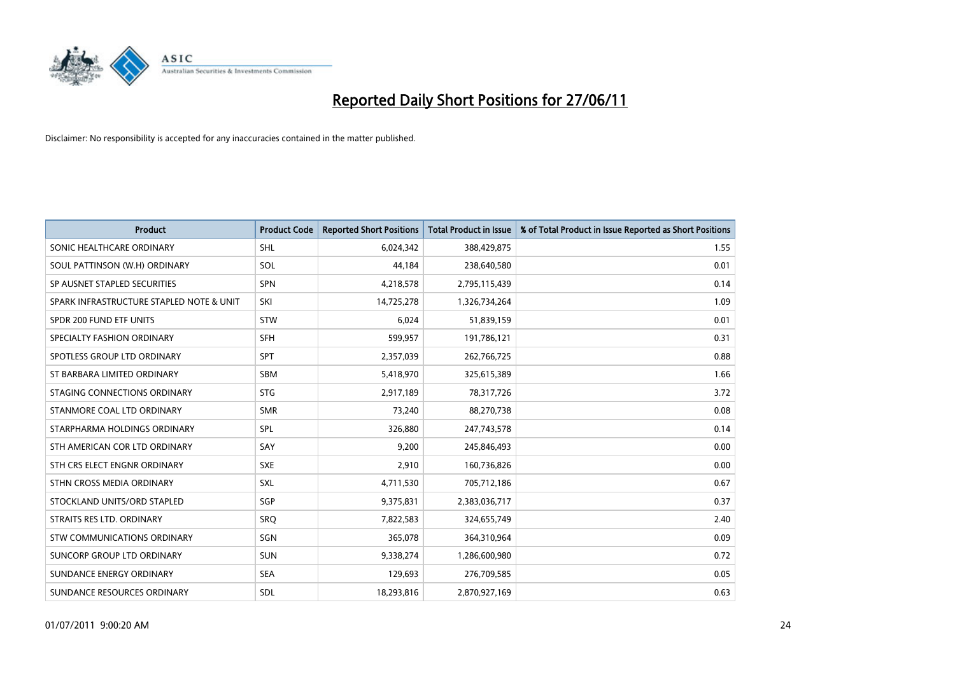

| <b>Product</b>                           | <b>Product Code</b> | <b>Reported Short Positions</b> | <b>Total Product in Issue</b> | % of Total Product in Issue Reported as Short Positions |
|------------------------------------------|---------------------|---------------------------------|-------------------------------|---------------------------------------------------------|
| SONIC HEALTHCARE ORDINARY                | <b>SHL</b>          | 6,024,342                       | 388,429,875                   | 1.55                                                    |
| SOUL PATTINSON (W.H) ORDINARY            | SOL                 | 44,184                          | 238,640,580                   | 0.01                                                    |
| SP AUSNET STAPLED SECURITIES             | SPN                 | 4,218,578                       | 2,795,115,439                 | 0.14                                                    |
| SPARK INFRASTRUCTURE STAPLED NOTE & UNIT | SKI                 | 14,725,278                      | 1,326,734,264                 | 1.09                                                    |
| SPDR 200 FUND ETF UNITS                  | <b>STW</b>          | 6,024                           | 51,839,159                    | 0.01                                                    |
| SPECIALTY FASHION ORDINARY               | <b>SFH</b>          | 599,957                         | 191,786,121                   | 0.31                                                    |
| SPOTLESS GROUP LTD ORDINARY              | <b>SPT</b>          | 2,357,039                       | 262,766,725                   | 0.88                                                    |
| ST BARBARA LIMITED ORDINARY              | <b>SBM</b>          | 5,418,970                       | 325,615,389                   | 1.66                                                    |
| STAGING CONNECTIONS ORDINARY             | <b>STG</b>          | 2,917,189                       | 78,317,726                    | 3.72                                                    |
| STANMORE COAL LTD ORDINARY               | <b>SMR</b>          | 73,240                          | 88,270,738                    | 0.08                                                    |
| STARPHARMA HOLDINGS ORDINARY             | SPL                 | 326,880                         | 247,743,578                   | 0.14                                                    |
| STH AMERICAN COR LTD ORDINARY            | SAY                 | 9,200                           | 245,846,493                   | 0.00                                                    |
| STH CRS ELECT ENGNR ORDINARY             | <b>SXE</b>          | 2,910                           | 160,736,826                   | 0.00                                                    |
| STHN CROSS MEDIA ORDINARY                | SXL                 | 4,711,530                       | 705,712,186                   | 0.67                                                    |
| STOCKLAND UNITS/ORD STAPLED              | SGP                 | 9,375,831                       | 2,383,036,717                 | 0.37                                                    |
| STRAITS RES LTD. ORDINARY                | <b>SRO</b>          | 7,822,583                       | 324,655,749                   | 2.40                                                    |
| <b>STW COMMUNICATIONS ORDINARY</b>       | SGN                 | 365,078                         | 364,310,964                   | 0.09                                                    |
| SUNCORP GROUP LTD ORDINARY               | <b>SUN</b>          | 9,338,274                       | 1,286,600,980                 | 0.72                                                    |
| SUNDANCE ENERGY ORDINARY                 | <b>SEA</b>          | 129,693                         | 276,709,585                   | 0.05                                                    |
| SUNDANCE RESOURCES ORDINARY              | SDL                 | 18,293,816                      | 2,870,927,169                 | 0.63                                                    |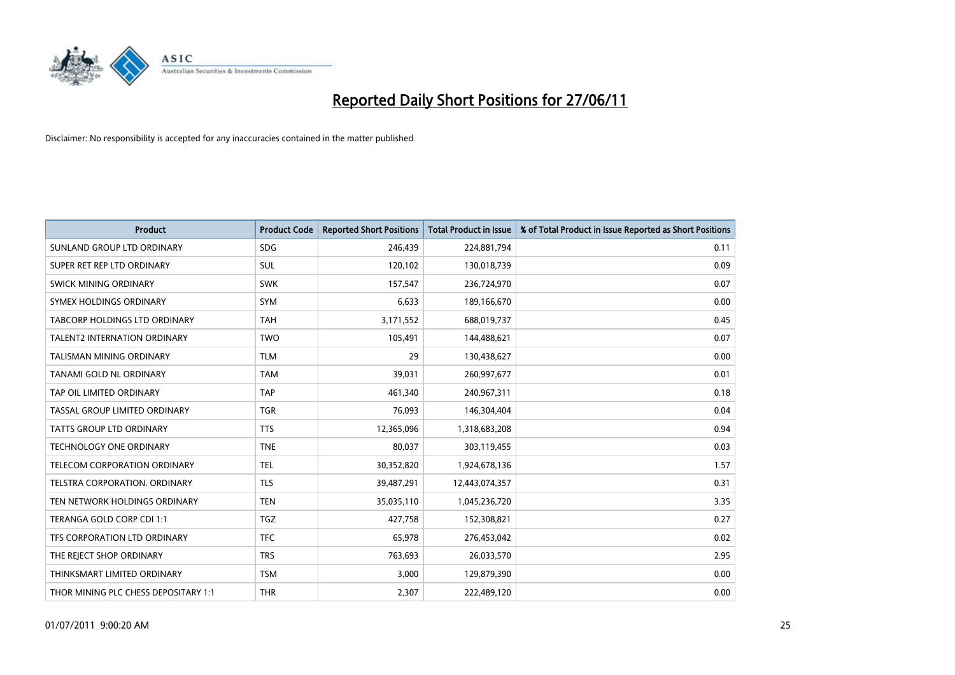

| <b>Product</b>                       | <b>Product Code</b> | <b>Reported Short Positions</b> | <b>Total Product in Issue</b> | % of Total Product in Issue Reported as Short Positions |
|--------------------------------------|---------------------|---------------------------------|-------------------------------|---------------------------------------------------------|
| SUNLAND GROUP LTD ORDINARY           | <b>SDG</b>          | 246,439                         | 224,881,794                   | 0.11                                                    |
| SUPER RET REP LTD ORDINARY           | SUL                 | 120,102                         | 130,018,739                   | 0.09                                                    |
| <b>SWICK MINING ORDINARY</b>         | <b>SWK</b>          | 157,547                         | 236,724,970                   | 0.07                                                    |
| SYMEX HOLDINGS ORDINARY              | <b>SYM</b>          | 6,633                           | 189,166,670                   | 0.00                                                    |
| <b>TABCORP HOLDINGS LTD ORDINARY</b> | <b>TAH</b>          | 3,171,552                       | 688,019,737                   | 0.45                                                    |
| <b>TALENT2 INTERNATION ORDINARY</b>  | <b>TWO</b>          | 105,491                         | 144,488,621                   | 0.07                                                    |
| TALISMAN MINING ORDINARY             | <b>TLM</b>          | 29                              | 130,438,627                   | 0.00                                                    |
| TANAMI GOLD NL ORDINARY              | <b>TAM</b>          | 39,031                          | 260,997,677                   | 0.01                                                    |
| TAP OIL LIMITED ORDINARY             | <b>TAP</b>          | 461,340                         | 240,967,311                   | 0.18                                                    |
| TASSAL GROUP LIMITED ORDINARY        | <b>TGR</b>          | 76,093                          | 146,304,404                   | 0.04                                                    |
| <b>TATTS GROUP LTD ORDINARY</b>      | <b>TTS</b>          | 12,365,096                      | 1,318,683,208                 | 0.94                                                    |
| <b>TECHNOLOGY ONE ORDINARY</b>       | <b>TNE</b>          | 80,037                          | 303,119,455                   | 0.03                                                    |
| TELECOM CORPORATION ORDINARY         | <b>TEL</b>          | 30,352,820                      | 1,924,678,136                 | 1.57                                                    |
| TELSTRA CORPORATION. ORDINARY        | <b>TLS</b>          | 39,487,291                      | 12,443,074,357                | 0.31                                                    |
| TEN NETWORK HOLDINGS ORDINARY        | <b>TEN</b>          | 35,035,110                      | 1,045,236,720                 | 3.35                                                    |
| TERANGA GOLD CORP CDI 1:1            | <b>TGZ</b>          | 427,758                         | 152,308,821                   | 0.27                                                    |
| TFS CORPORATION LTD ORDINARY         | <b>TFC</b>          | 65,978                          | 276,453,042                   | 0.02                                                    |
| THE REJECT SHOP ORDINARY             | <b>TRS</b>          | 763,693                         | 26,033,570                    | 2.95                                                    |
| THINKSMART LIMITED ORDINARY          | <b>TSM</b>          | 3,000                           | 129,879,390                   | 0.00                                                    |
| THOR MINING PLC CHESS DEPOSITARY 1:1 | <b>THR</b>          | 2,307                           | 222,489,120                   | 0.00                                                    |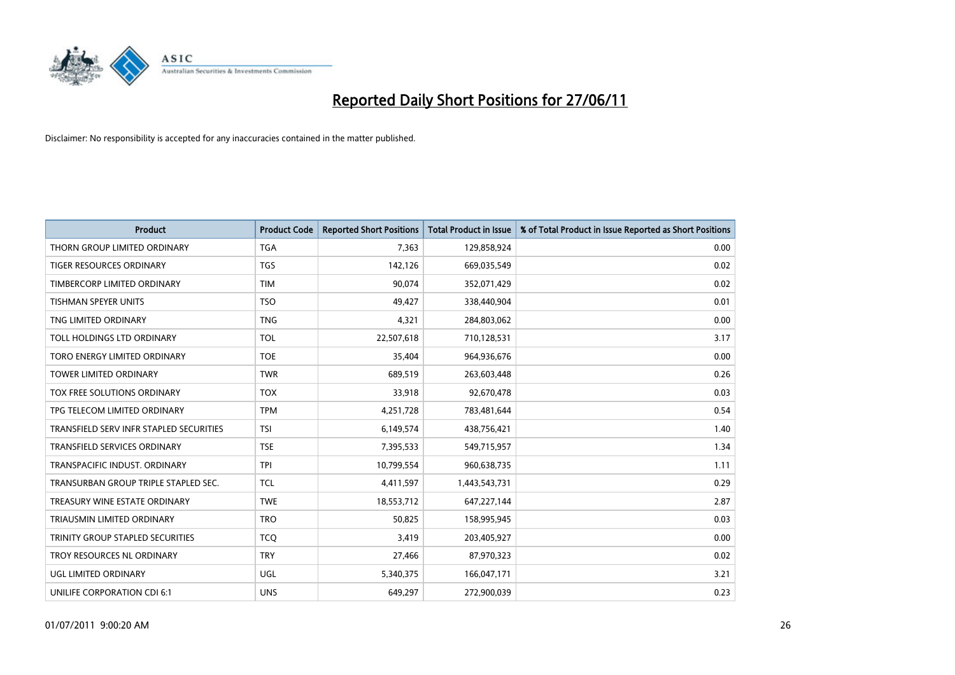

| <b>Product</b>                          | <b>Product Code</b> | <b>Reported Short Positions</b> | <b>Total Product in Issue</b> | % of Total Product in Issue Reported as Short Positions |
|-----------------------------------------|---------------------|---------------------------------|-------------------------------|---------------------------------------------------------|
| THORN GROUP LIMITED ORDINARY            | <b>TGA</b>          | 7,363                           | 129,858,924                   | 0.00                                                    |
| TIGER RESOURCES ORDINARY                | <b>TGS</b>          | 142,126                         | 669,035,549                   | 0.02                                                    |
| TIMBERCORP LIMITED ORDINARY             | <b>TIM</b>          | 90,074                          | 352,071,429                   | 0.02                                                    |
| TISHMAN SPEYER UNITS                    | <b>TSO</b>          | 49,427                          | 338,440,904                   | 0.01                                                    |
| TNG LIMITED ORDINARY                    | <b>TNG</b>          | 4,321                           | 284,803,062                   | 0.00                                                    |
| TOLL HOLDINGS LTD ORDINARY              | <b>TOL</b>          | 22,507,618                      | 710,128,531                   | 3.17                                                    |
| <b>TORO ENERGY LIMITED ORDINARY</b>     | <b>TOE</b>          | 35,404                          | 964,936,676                   | 0.00                                                    |
| TOWER LIMITED ORDINARY                  | <b>TWR</b>          | 689,519                         | 263,603,448                   | 0.26                                                    |
| TOX FREE SOLUTIONS ORDINARY             | <b>TOX</b>          | 33,918                          | 92,670,478                    | 0.03                                                    |
| TPG TELECOM LIMITED ORDINARY            | <b>TPM</b>          | 4,251,728                       | 783,481,644                   | 0.54                                                    |
| TRANSFIELD SERV INFR STAPLED SECURITIES | <b>TSI</b>          | 6,149,574                       | 438,756,421                   | 1.40                                                    |
| <b>TRANSFIELD SERVICES ORDINARY</b>     | <b>TSE</b>          | 7,395,533                       | 549,715,957                   | 1.34                                                    |
| TRANSPACIFIC INDUST. ORDINARY           | <b>TPI</b>          | 10,799,554                      | 960,638,735                   | 1.11                                                    |
| TRANSURBAN GROUP TRIPLE STAPLED SEC.    | <b>TCL</b>          | 4,411,597                       | 1,443,543,731                 | 0.29                                                    |
| TREASURY WINE ESTATE ORDINARY           | <b>TWE</b>          | 18,553,712                      | 647,227,144                   | 2.87                                                    |
| TRIAUSMIN LIMITED ORDINARY              | <b>TRO</b>          | 50,825                          | 158,995,945                   | 0.03                                                    |
| TRINITY GROUP STAPLED SECURITIES        | <b>TCO</b>          | 3,419                           | 203,405,927                   | 0.00                                                    |
| TROY RESOURCES NL ORDINARY              | <b>TRY</b>          | 27,466                          | 87,970,323                    | 0.02                                                    |
| <b>UGL LIMITED ORDINARY</b>             | UGL                 | 5,340,375                       | 166,047,171                   | 3.21                                                    |
| UNILIFE CORPORATION CDI 6:1             | <b>UNS</b>          | 649,297                         | 272,900,039                   | 0.23                                                    |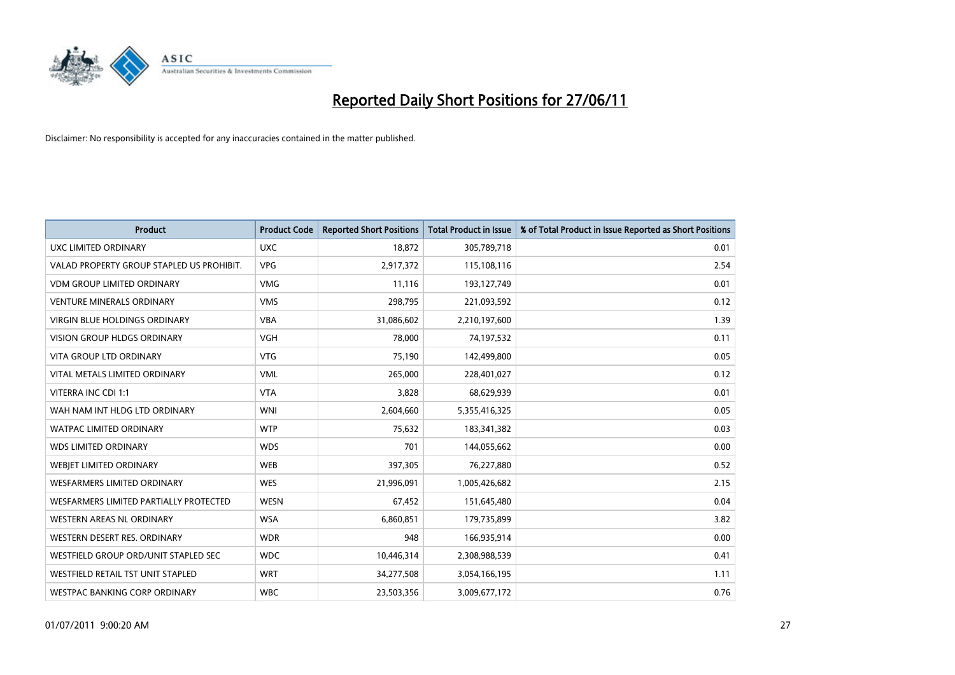

| <b>Product</b>                            | <b>Product Code</b> | <b>Reported Short Positions</b> | <b>Total Product in Issue</b> | % of Total Product in Issue Reported as Short Positions |
|-------------------------------------------|---------------------|---------------------------------|-------------------------------|---------------------------------------------------------|
| <b>UXC LIMITED ORDINARY</b>               | <b>UXC</b>          | 18,872                          | 305,789,718                   | 0.01                                                    |
| VALAD PROPERTY GROUP STAPLED US PROHIBIT. | <b>VPG</b>          | 2,917,372                       | 115,108,116                   | 2.54                                                    |
| <b>VDM GROUP LIMITED ORDINARY</b>         | <b>VMG</b>          | 11,116                          | 193,127,749                   | 0.01                                                    |
| <b>VENTURE MINERALS ORDINARY</b>          | <b>VMS</b>          | 298,795                         | 221,093,592                   | 0.12                                                    |
| <b>VIRGIN BLUE HOLDINGS ORDINARY</b>      | <b>VBA</b>          | 31,086,602                      | 2,210,197,600                 | 1.39                                                    |
| <b>VISION GROUP HLDGS ORDINARY</b>        | <b>VGH</b>          | 78,000                          | 74,197,532                    | 0.11                                                    |
| <b>VITA GROUP LTD ORDINARY</b>            | <b>VTG</b>          | 75,190                          | 142,499,800                   | 0.05                                                    |
| VITAL METALS LIMITED ORDINARY             | <b>VML</b>          | 265,000                         | 228,401,027                   | 0.12                                                    |
| VITERRA INC CDI 1:1                       | <b>VTA</b>          | 3,828                           | 68,629,939                    | 0.01                                                    |
| WAH NAM INT HLDG LTD ORDINARY             | <b>WNI</b>          | 2,604,660                       | 5,355,416,325                 | 0.05                                                    |
| <b>WATPAC LIMITED ORDINARY</b>            | <b>WTP</b>          | 75,632                          | 183,341,382                   | 0.03                                                    |
| <b>WDS LIMITED ORDINARY</b>               | <b>WDS</b>          | 701                             | 144,055,662                   | 0.00                                                    |
| WEBIET LIMITED ORDINARY                   | <b>WEB</b>          | 397,305                         | 76,227,880                    | 0.52                                                    |
| <b>WESFARMERS LIMITED ORDINARY</b>        | <b>WES</b>          | 21,996,091                      | 1,005,426,682                 | 2.15                                                    |
| WESFARMERS LIMITED PARTIALLY PROTECTED    | <b>WESN</b>         | 67,452                          | 151,645,480                   | 0.04                                                    |
| WESTERN AREAS NL ORDINARY                 | <b>WSA</b>          | 6,860,851                       | 179,735,899                   | 3.82                                                    |
| WESTERN DESERT RES. ORDINARY              | <b>WDR</b>          | 948                             | 166,935,914                   | 0.00                                                    |
| WESTFIELD GROUP ORD/UNIT STAPLED SEC      | <b>WDC</b>          | 10,446,314                      | 2,308,988,539                 | 0.41                                                    |
| WESTFIELD RETAIL TST UNIT STAPLED         | <b>WRT</b>          | 34,277,508                      | 3,054,166,195                 | 1.11                                                    |
| WESTPAC BANKING CORP ORDINARY             | <b>WBC</b>          | 23,503,356                      | 3,009,677,172                 | 0.76                                                    |